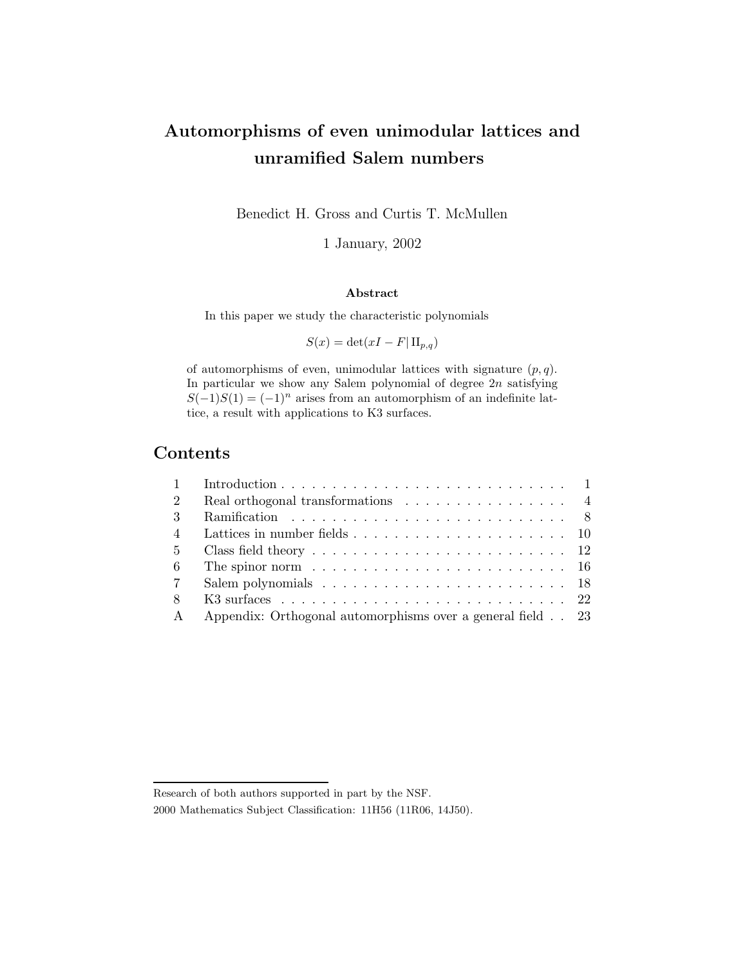# Automorphisms of even unimodular lattices and unramified Salem numbers

Benedict H. Gross and Curtis T. McMullen

1 January, 2002

#### Abstract

In this paper we study the characteristic polynomials

$$
S(x) = \det(xI - F| \Pi_{p,q})
$$

of automorphisms of even, unimodular lattices with signature  $(p, q)$ . In particular we show any Salem polynomial of degree  $2n$  satisfying  $S(-1)S(1) = (-1)^n$  arises from an automorphism of an indefinite lattice, a result with applications to K3 surfaces.

### Contents

| $1 \quad$      |                                                                                        |  |
|----------------|----------------------------------------------------------------------------------------|--|
| $\overline{2}$ | Real orthogonal transformations $\ldots \ldots \ldots \ldots \ldots$                   |  |
| $\mathcal{R}$  |                                                                                        |  |
| $\overline{4}$ | Lattices in number fields $\ldots \ldots \ldots \ldots \ldots \ldots \ldots \ldots 10$ |  |
|                |                                                                                        |  |
| 6              | The spinor norm $\ldots \ldots \ldots \ldots \ldots \ldots \ldots \ldots \ldots 16$    |  |
|                |                                                                                        |  |
| 8              |                                                                                        |  |
| $\mathbf{A}$   | Appendix: Orthogonal automorphisms over a general field 23                             |  |

Research of both authors supported in part by the NSF.

<sup>2000</sup> Mathematics Subject Classification: 11H56 (11R06, 14J50).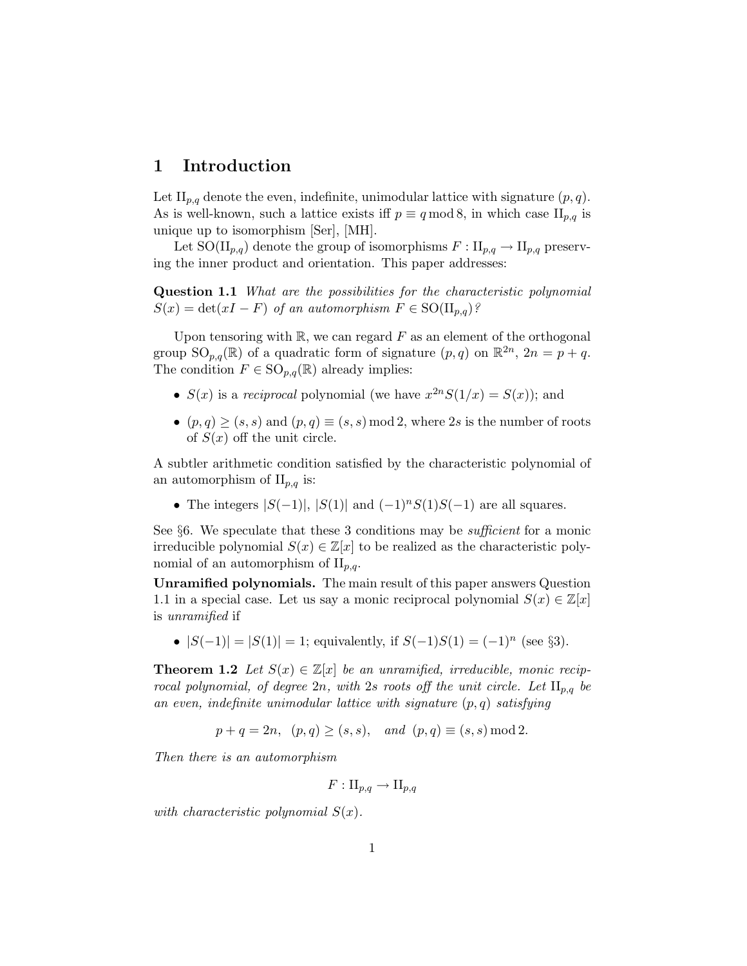#### 1 Introduction

Let  $\prod_{p,q}$  denote the even, indefinite, unimodular lattice with signature  $(p,q)$ . As is well-known, such a lattice exists iff  $p \equiv q \mod 8$ , in which case  $\prod_{p,q}$  is unique up to isomorphism [Ser], [MH].

Let SO( $\text{II}_{p,q}$ ) denote the group of isomorphisms  $F: \text{II}_{p,q} \to \text{II}_{p,q}$  preserving the inner product and orientation. This paper addresses:

Question 1.1 *What are the possibilities for the characteristic polynomial*  $S(x) = \det(xI - F)$  *of an automorphism*  $F \in SO(H_{p,q})$ ?

Upon tensoring with  $\mathbb{R}$ , we can regard  $F$  as an element of the orthogonal group  $\text{SO}_{p,q}(\mathbb{R})$  of a quadratic form of signature  $(p,q)$  on  $\mathbb{R}^{2n}$ ,  $2n = p + q$ . The condition  $F \in \mathrm{SO}_{p,q}(\mathbb{R})$  already implies:

- $S(x)$  is a *reciprocal* polynomial (we have  $x^{2n}S(1/x) = S(x)$ ); and
- $(p,q) \geq (s,s)$  and  $(p,q) \equiv (s,s) \mod 2$ , where 2s is the number of roots of  $S(x)$  off the unit circle.

A subtler arithmetic condition satisfied by the characteristic polynomial of an automorphism of  $II_{p,q}$  is:

• The integers  $|S(-1)|$ ,  $|S(1)|$  and  $(-1)^nS(1)S(-1)$  are all squares.

See §6. We speculate that these 3 conditions may be *sufficient* for a monic irreducible polynomial  $S(x) \in \mathbb{Z}[x]$  to be realized as the characteristic polynomial of an automorphism of  $II_{p,q}$ .

Unramified polynomials. The main result of this paper answers Question 1.1 in a special case. Let us say a monic reciprocal polynomial  $S(x) \in \mathbb{Z}[x]$ is *unramified* if

•  $|S(-1)| = |S(1)| = 1$ ; equivalently, if  $S(-1)S(1) = (-1)^n$  (see §3).

**Theorem 1.2** *Let*  $S(x) \in \mathbb{Z}[x]$  *be an unramified, irreducible, monic reciprocal polynomial, of degree*  $2n$ *, with*  $2s$  *roots off the unit circle. Let*  $\prod_{p,q}$  *be an even, indefinite unimodular lattice with signature* (p,q) *satisfying*

$$
p + q = 2n
$$
,  $(p,q) \ge (s,s)$ , and  $(p,q) \equiv (s,s) \mod 2$ .

*Then there is an automorphism*

$$
F:\mathrm{II}_{p,q}\to \mathrm{II}_{p,q}
$$

*with characteristic polynomial*  $S(x)$ *.*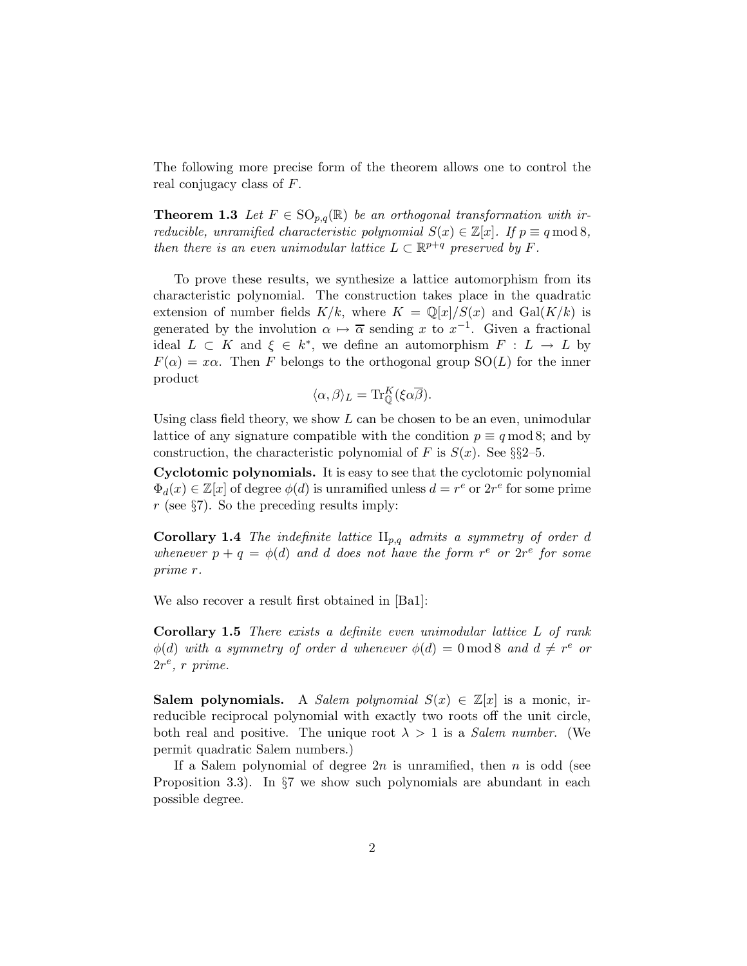The following more precise form of the theorem allows one to control the real conjugacy class of F.

**Theorem 1.3** Let  $F \in SO_{p,q}(\mathbb{R})$  be an orthogonal transformation with ir*reducible, unramified characteristic polynomial*  $S(x) \in \mathbb{Z}[x]$ *. If*  $p \equiv q \mod 8$ *, then there is an even unimodular lattice*  $L \subset \mathbb{R}^{p+q}$  *preserved by* F.

To prove these results, we synthesize a lattice automorphism from its characteristic polynomial. The construction takes place in the quadratic extension of number fields  $K/k$ , where  $K = \mathbb{Q}[x]/S(x)$  and  $Gal(K/k)$  is generated by the involution  $\alpha \mapsto \overline{\alpha}$  sending x to  $x^{-1}$ . Given a fractional ideal  $L \subset K$  and  $\xi \in k^*$ , we define an automorphism  $F : L \to L$  by  $F(\alpha) = x\alpha$ . Then F belongs to the orthogonal group  $SO(L)$  for the inner product

$$
\langle \alpha, \beta \rangle_L = \text{Tr}_{\mathbb{Q}}^K(\xi \alpha \overline{\beta}).
$$

Using class field theory, we show  $L$  can be chosen to be an even, unimodular lattice of any signature compatible with the condition  $p \equiv q \mod 8$ ; and by construction, the characteristic polynomial of F is  $S(x)$ . See §§2–5.

Cyclotomic polynomials. It is easy to see that the cyclotomic polynomial  $\Phi_d(x) \in \mathbb{Z}[x]$  of degree  $\phi(d)$  is unramified unless  $d = r^e$  or  $2r^e$  for some prime  $r$  (see §7). So the preceding results imply:

**Corollary 1.4** *The indefinite lattice*  $II_{p,q}$  *admits a symmetry of order d* whenever  $p + q = \phi(d)$  and d does not have the form  $r^e$  or  $2r^e$  for some *prime* r*.*

We also recover a result first obtained in [Ba1]:

Corollary 1.5 *There exists a definite even unimodular lattice* L *of rank*  $\phi(d)$  *with a symmetry of order d whenever*  $\phi(d) = 0 \mod 8$  *and*  $d \neq r^e$  *or*  $2r^e$ , *r* prime.

**Salem polynomials.** A *Salem polynomial*  $S(x) \in \mathbb{Z}[x]$  is a monic, irreducible reciprocal polynomial with exactly two roots off the unit circle, both real and positive. The unique root  $\lambda > 1$  is a *Salem number*. (We permit quadratic Salem numbers.)

If a Salem polynomial of degree  $2n$  is unramified, then n is odd (see Proposition 3.3). In §7 we show such polynomials are abundant in each possible degree.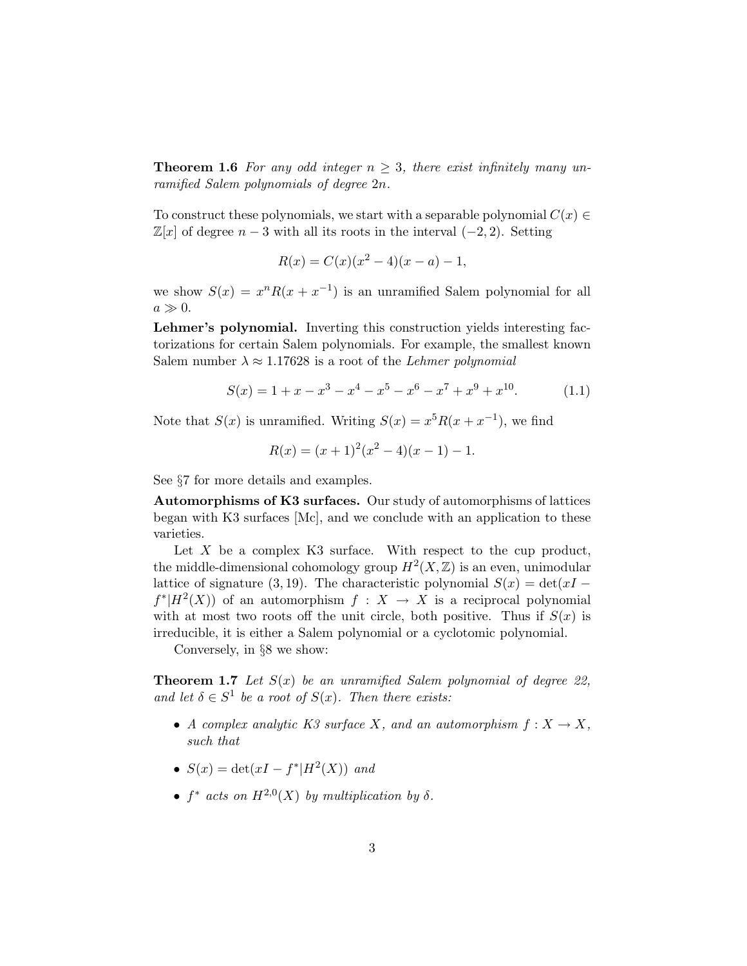**Theorem 1.6** For any odd integer  $n \geq 3$ , there exist infinitely many un*ramified Salem polynomials of degree* 2n*.*

To construct these polynomials, we start with a separable polynomial  $C(x) \in$  $\mathbb{Z}[x]$  of degree  $n-3$  with all its roots in the interval  $(-2, 2)$ . Setting

$$
R(x) = C(x)(x^2 - 4)(x - a) - 1,
$$

we show  $S(x) = x^n R(x + x^{-1})$  is an unramified Salem polynomial for all  $a \gg 0$ .

Lehmer's polynomial. Inverting this construction yields interesting factorizations for certain Salem polynomials. For example, the smallest known Salem number  $\lambda \approx 1.17628$  is a root of the *Lehmer polynomial* 

$$
S(x) = 1 + x - x3 - x4 - x5 - x6 - x7 + x9 + x10.
$$
 (1.1)

Note that  $S(x)$  is unramified. Writing  $S(x) = x^5 R(x + x^{-1})$ , we find

$$
R(x) = (x+1)^2(x^2-4)(x-1) - 1.
$$

See §7 for more details and examples.

Automorphisms of K3 surfaces. Our study of automorphisms of lattices began with K3 surfaces [Mc], and we conclude with an application to these varieties.

Let  $X$  be a complex K3 surface. With respect to the cup product, the middle-dimensional cohomology group  $H^2(X,\mathbb{Z})$  is an even, unimodular lattice of signature (3, 19). The characteristic polynomial  $S(x) = det(xI$  $f^*$ | $H^2(X)$ ) of an automorphism  $f: X \to X$  is a reciprocal polynomial with at most two roots off the unit circle, both positive. Thus if  $S(x)$  is irreducible, it is either a Salem polynomial or a cyclotomic polynomial.

Conversely, in §8 we show:

Theorem 1.7 *Let* S(x) *be an unramified Salem polynomial of degree 22,* and let  $\delta \in S^1$  be a root of  $S(x)$ . Then there exists:

- *A complex analytic K3 surface* X, and an automorphism  $f: X \to X$ , *such that*
- $S(x) = \det(xI f^*|H^2(X))$  *and*
- $f^*$  *acts on*  $H^{2,0}(X)$  *by multiplication by*  $\delta$ *.*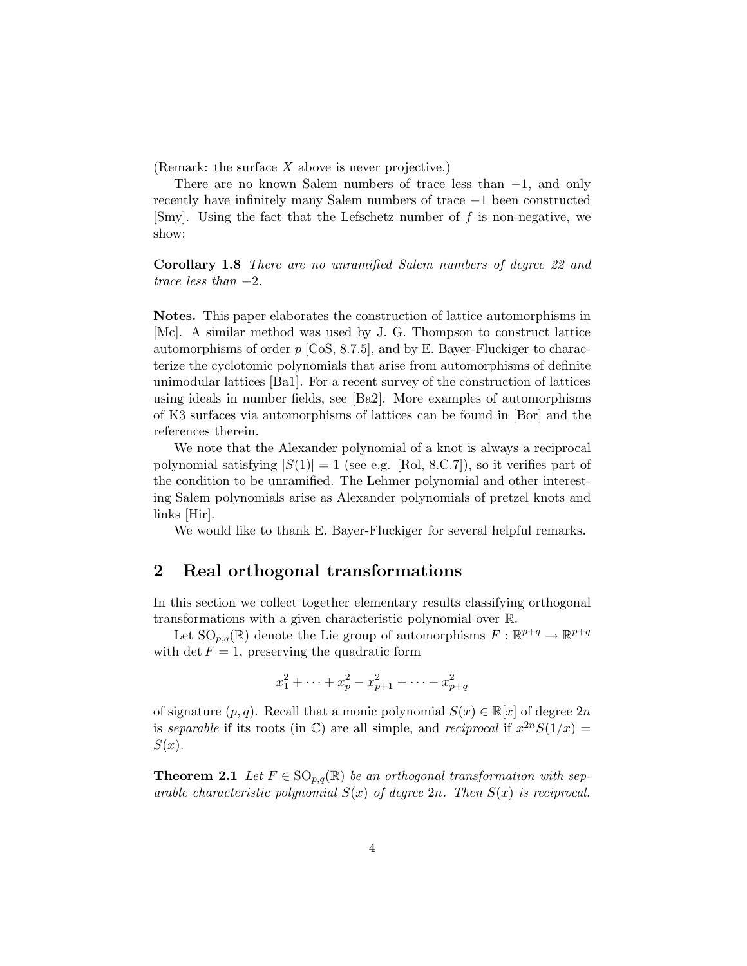(Remark: the surface  $X$  above is never projective.)

There are no known Salem numbers of trace less than −1, and only recently have infinitely many Salem numbers of trace −1 been constructed [Smy]. Using the fact that the Lefschetz number of  $f$  is non-negative, we show:

Corollary 1.8 *There are no unramified Salem numbers of degree 22 and trace less than* −2*.*

Notes. This paper elaborates the construction of lattice automorphisms in [Mc]. A similar method was used by J. G. Thompson to construct lattice automorphisms of order  $p$  [CoS, 8.7.5], and by E. Bayer-Fluckiger to characterize the cyclotomic polynomials that arise from automorphisms of definite unimodular lattices [Ba1]. For a recent survey of the construction of lattices using ideals in number fields, see [Ba2]. More examples of automorphisms of K3 surfaces via automorphisms of lattices can be found in [Bor] and the references therein.

We note that the Alexander polynomial of a knot is always a reciprocal polynomial satisfying  $|S(1)| = 1$  (see e.g. [Rol, 8.C.7]), so it verifies part of the condition to be unramified. The Lehmer polynomial and other interesting Salem polynomials arise as Alexander polynomials of pretzel knots and links [Hir].

We would like to thank E. Bayer-Fluckiger for several helpful remarks.

#### 2 Real orthogonal transformations

In this section we collect together elementary results classifying orthogonal transformations with a given characteristic polynomial over R.

Let  $\text{SO}_{p,q}(\mathbb{R})$  denote the Lie group of automorphisms  $F: \mathbb{R}^{p+q} \to \mathbb{R}^{p+q}$ with det  $F = 1$ , preserving the quadratic form

$$
x_1^2 + \dots + x_p^2 - x_{p+1}^2 - \dots - x_{p+q}^2
$$

of signature  $(p, q)$ . Recall that a monic polynomial  $S(x) \in \mathbb{R}[x]$  of degree  $2n$ is *separable* if its roots (in  $\mathbb{C}$ ) are all simple, and *reciprocal* if  $x^{2n}S(1/x) =$  $S(x)$ .

**Theorem 2.1** Let  $F \in \text{SO}_{p,q}(\mathbb{R})$  be an orthogonal transformation with sep*arable characteristic polynomial* S(x) *of degree* 2n*. Then* S(x) *is reciprocal.*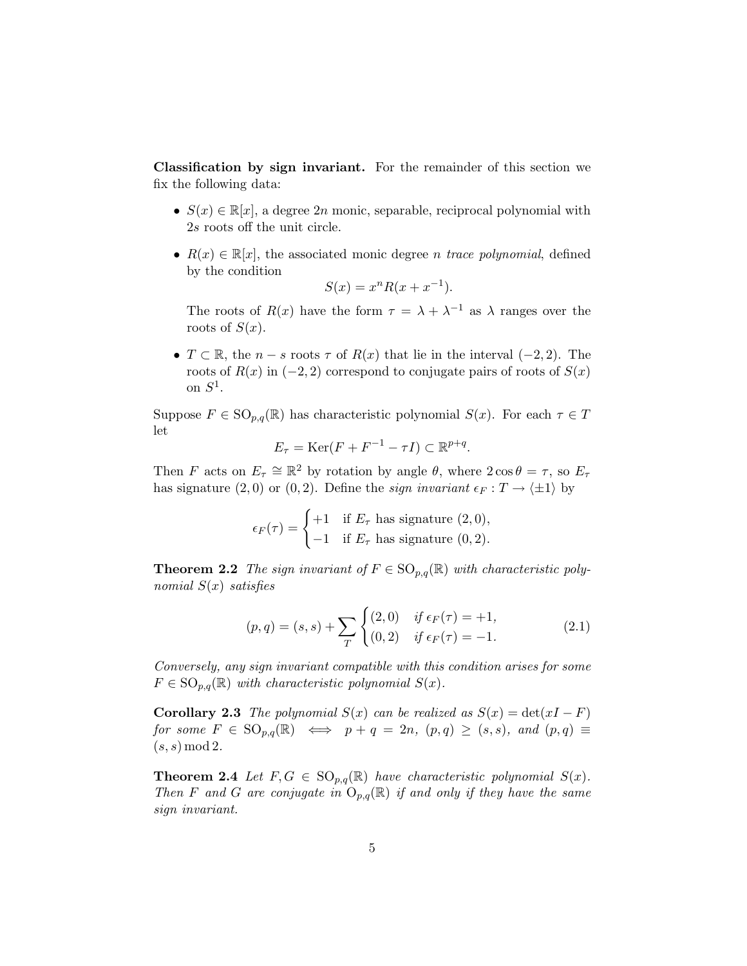Classification by sign invariant. For the remainder of this section we fix the following data:

- $S(x) \in \mathbb{R}[x]$ , a degree 2*n* monic, separable, reciprocal polynomial with 2s roots off the unit circle.
- $R(x) \in \mathbb{R}[x]$ , the associated monic degree *n* trace polynomial, defined by the condition

$$
S(x) = x^n R(x + x^{-1}).
$$

The roots of  $R(x)$  have the form  $\tau = \lambda + \lambda^{-1}$  as  $\lambda$  ranges over the roots of  $S(x)$ .

•  $T \subset \mathbb{R}$ , the  $n - s$  roots  $\tau$  of  $R(x)$  that lie in the interval  $(-2, 2)$ . The roots of  $R(x)$  in  $(-2, 2)$  correspond to conjugate pairs of roots of  $S(x)$ on  $S^1$ .

Suppose  $F \in \text{SO}_{p,q}(\mathbb{R})$  has characteristic polynomial  $S(x)$ . For each  $\tau \in T$ let

$$
E_{\tau} = \text{Ker}(F + F^{-1} - \tau I) \subset \mathbb{R}^{p+q}.
$$

Then F acts on  $E_{\tau} \cong \mathbb{R}^2$  by rotation by angle  $\theta$ , where  $2 \cos \theta = \tau$ , so  $E_{\tau}$ has signature (2,0) or (0,2). Define the *sign invariant*  $\epsilon_F : T \to \langle \pm 1 \rangle$  by

$$
\epsilon_F(\tau) = \begin{cases} +1 & \text{if } E_{\tau} \text{ has signature } (2,0), \\ -1 & \text{if } E_{\tau} \text{ has signature } (0,2). \end{cases}
$$

**Theorem 2.2** *The sign invariant of*  $F \in SO_{p,q}(\mathbb{R})$  *with characteristic polynomial* S(x) *satisfies*

$$
(p,q) = (s,s) + \sum_{T} \begin{cases} (2,0) & \text{if } \epsilon_F(\tau) = +1, \\ (0,2) & \text{if } \epsilon_F(\tau) = -1. \end{cases}
$$
 (2.1)

*Conversely, any sign invariant compatible with this condition arises for some*  $F \in \text{SO}_{p,q}(\mathbb{R})$  *with characteristic polynomial*  $S(x)$ *.* 

**Corollary 2.3** *The polynomial*  $S(x)$  *can be realized as*  $S(x) = det(xI - F)$ *for some*  $F \in \text{SO}_{p,q}(\mathbb{R}) \iff p + q = 2n, (p,q) \geq (s,s), \text{ and } (p,q) \equiv$  $(s, s) \mod 2$ .

**Theorem 2.4** Let  $F, G \in SO_{p,q}(\mathbb{R})$  have characteristic polynomial  $S(x)$ . *Then* F and G are conjugate in  $O_{p,q}(\mathbb{R})$  *if and only if they have the same sign invariant.*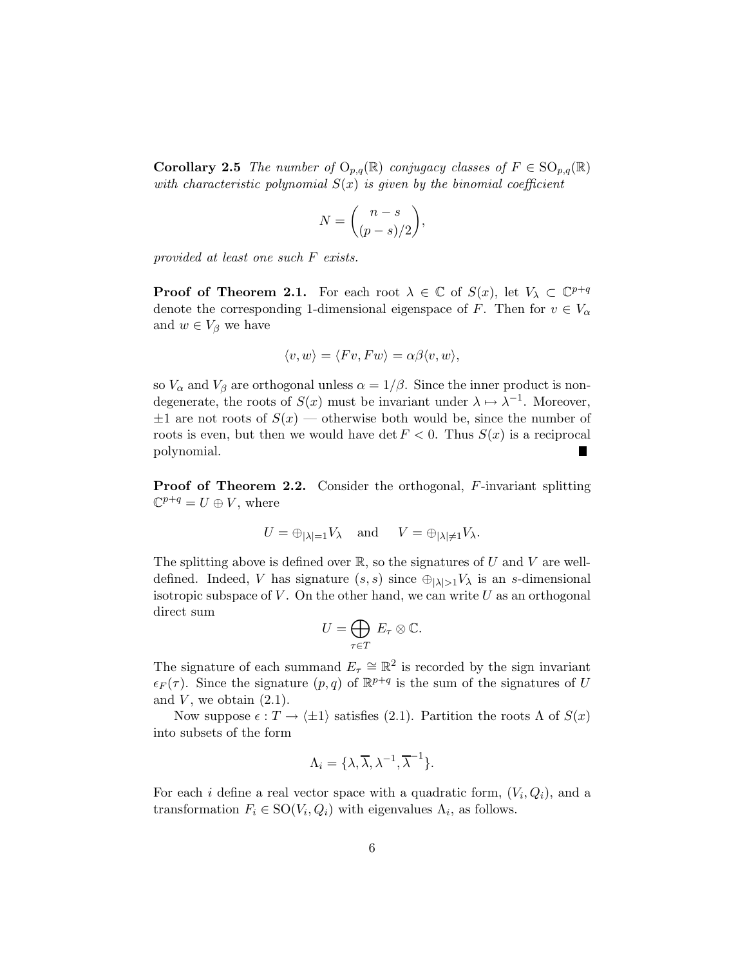**Corollary 2.5** *The number of*  $O_{p,q}(\mathbb{R})$  *conjugacy classes of*  $F \in SO_{p,q}(\mathbb{R})$ *with characteristic polynomial* S(x) *is given by the binomial coefficient*

$$
N = \binom{n-s}{(p-s)/2},
$$

*provided at least one such* F *exists.*

**Proof of Theorem 2.1.** For each root  $\lambda \in \mathbb{C}$  of  $S(x)$ , let  $V_{\lambda} \subset \mathbb{C}^{p+q}$ denote the corresponding 1-dimensional eigenspace of F. Then for  $v \in V_{\alpha}$ and  $w \in V_\beta$  we have

$$
\langle v, w \rangle = \langle Fv, Fw \rangle = \alpha \beta \langle v, w \rangle,
$$

so  $V_{\alpha}$  and  $V_{\beta}$  are orthogonal unless  $\alpha = 1/\beta$ . Since the inner product is nondegenerate, the roots of  $S(x)$  must be invariant under  $\lambda \mapsto \lambda^{-1}$ . Moreover,  $\pm 1$  are not roots of  $S(x)$  — otherwise both would be, since the number of roots is even, but then we would have det  $F < 0$ . Thus  $S(x)$  is a reciprocal polynomial.

**Proof of Theorem 2.2.** Consider the orthogonal, F-invariant splitting  $\mathbb{C}^{p+q} = U \oplus V$ , where

$$
U = \bigoplus_{|\lambda|=1} V_{\lambda} \quad \text{and} \quad V = \bigoplus_{|\lambda| \neq 1} V_{\lambda}.
$$

The splitting above is defined over  $\mathbb{R}$ , so the signatures of U and V are welldefined. Indeed, V has signature  $(s, s)$  since  $\bigoplus_{|\lambda|>1} V_{\lambda}$  is an s-dimensional isotropic subspace of  $V$ . On the other hand, we can write  $U$  as an orthogonal direct sum

$$
U=\bigoplus_{\tau\in T} E_\tau\otimes\mathbb{C}.
$$

The signature of each summand  $E_{\tau} \cong \mathbb{R}^2$  is recorded by the sign invariant  $\epsilon_F(\tau)$ . Since the signature  $(p,q)$  of  $\mathbb{R}^{p+q}$  is the sum of the signatures of U and  $V$ , we obtain  $(2.1)$ .

Now suppose  $\epsilon : T \to \{\pm 1\}$  satisfies (2.1). Partition the roots  $\Lambda$  of  $S(x)$ into subsets of the form

$$
\Lambda_i = \{ \lambda, \overline{\lambda}, \lambda^{-1}, \overline{\lambda}^{-1} \}.
$$

For each *i* define a real vector space with a quadratic form,  $(V_i, Q_i)$ , and a transformation  $F_i \in SO(V_i, Q_i)$  with eigenvalues  $\Lambda_i$ , as follows.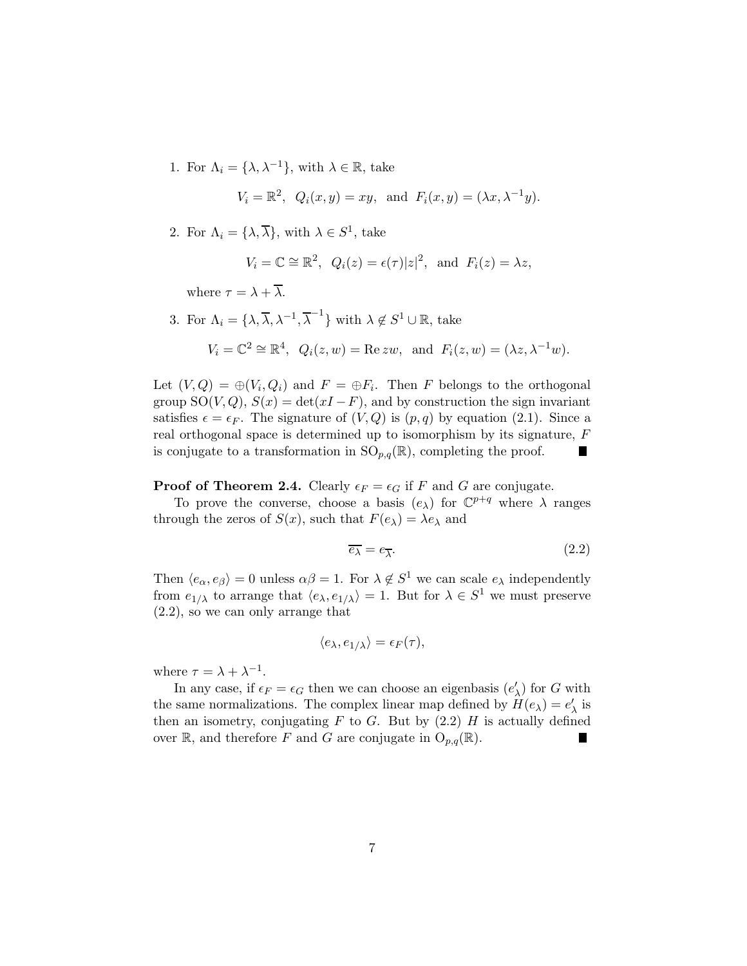1. For  $\Lambda_i = {\lambda, \lambda^{-1}}$ , with  $\lambda \in \mathbb{R}$ , take

$$
V_i = \mathbb{R}^2
$$
,  $Q_i(x, y) = xy$ , and  $F_i(x, y) = (\lambda x, \lambda^{-1} y)$ .

2. For  $\Lambda_i = {\lambda, \overline{\lambda}}$ , with  $\lambda \in S^1$ , take

$$
V_i = \mathbb{C} \cong \mathbb{R}^2
$$
,  $Q_i(z) = \epsilon(\tau)|z|^2$ , and  $F_i(z) = \lambda z$ ,

where  $\tau = \lambda + \overline{\lambda}$ .

3. For  $\Lambda_i = \{ \lambda, \overline{\lambda}, \lambda^{-1}, \overline{\lambda}^{-1} \}$  with  $\lambda \notin S^1 \cup \mathbb{R}$ , take

$$
V_i = \mathbb{C}^2 \cong \mathbb{R}^4, \ \ Q_i(z, w) = \text{Re}\, zw, \ \text{and} \ \ F_i(z, w) = (\lambda z, \lambda^{-1}w).
$$

Let  $(V, Q) = \bigoplus (V_i, Q_i)$  and  $F = \bigoplus F_i$ . Then F belongs to the orthogonal group SO(V, Q),  $S(x) = \det(xI - F)$ , and by construction the sign invariant satisfies  $\epsilon = \epsilon_F$ . The signature of  $(V, Q)$  is  $(p, q)$  by equation (2.1). Since a real orthogonal space is determined up to isomorphism by its signature, F is conjugate to a transformation in  $SO_{p,q}(\mathbb{R})$ , completing the proof. H.

**Proof of Theorem 2.4.** Clearly  $\epsilon_F = \epsilon_G$  if F and G are conjugate.

To prove the converse, choose a basis  $(e_{\lambda})$  for  $\mathbb{C}^{p+q}$  where  $\lambda$  ranges through the zeros of  $S(x)$ , such that  $F(e_\lambda) = \lambda e_\lambda$  and

$$
\overline{e_{\lambda}} = e_{\overline{\lambda}}.\tag{2.2}
$$

Then  $\langle e_{\alpha}, e_{\beta} \rangle = 0$  unless  $\alpha \beta = 1$ . For  $\lambda \notin S^1$  we can scale  $e_{\lambda}$  independently from  $e_{1/\lambda}$  to arrange that  $\langle e_{\lambda}, e_{1/\lambda} \rangle = 1$ . But for  $\lambda \in S^1$  we must preserve (2.2), so we can only arrange that

$$
\langle e_{\lambda}, e_{1/\lambda} \rangle = \epsilon_F(\tau),
$$

where  $\tau = \lambda + \lambda^{-1}$ .

In any case, if  $\epsilon_F = \epsilon_G$  then we can choose an eigenbasis  $(e'_\lambda)$  for G with the same normalizations. The complex linear map defined by  $H(e_{\lambda}) = e'_{\lambda}$  is then an isometry, conjugating  $F$  to  $G$ . But by  $(2.2)$   $H$  is actually defined over  $\mathbb{R}$ , and therefore F and G are conjugate in  $O_{p,q}(\mathbb{R})$ .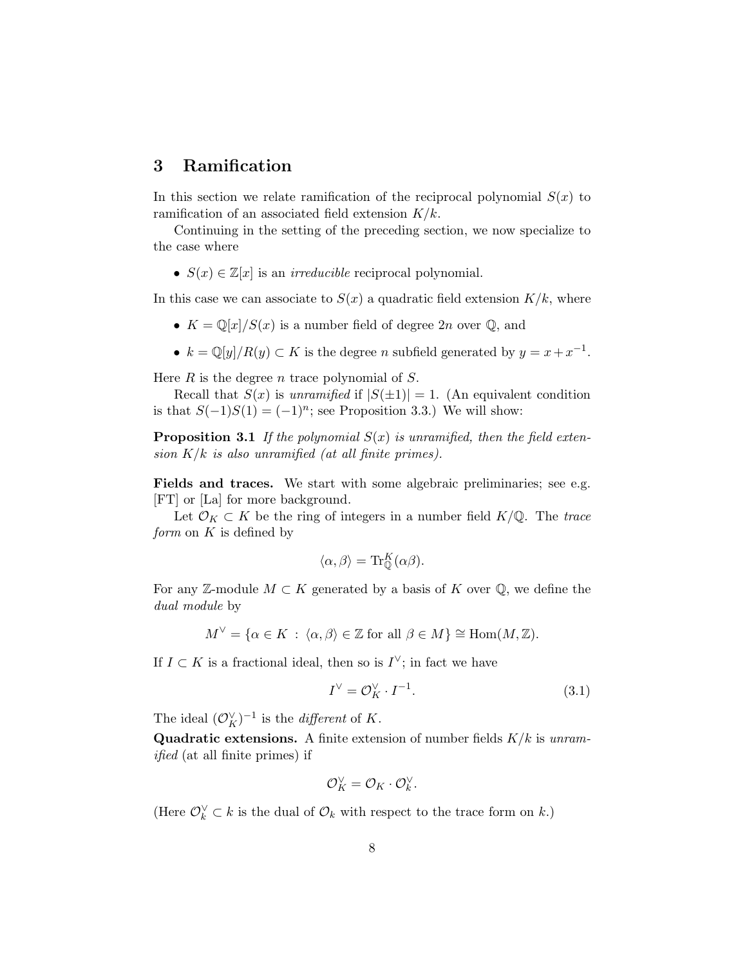### 3 Ramification

In this section we relate ramification of the reciprocal polynomial  $S(x)$  to ramification of an associated field extension  $K/k$ .

Continuing in the setting of the preceding section, we now specialize to the case where

•  $S(x) \in \mathbb{Z}[x]$  is an *irreducible* reciprocal polynomial.

In this case we can associate to  $S(x)$  a quadratic field extension  $K/k$ , where

- $K = \mathbb{Q}[x]/S(x)$  is a number field of degree  $2n$  over  $\mathbb{Q}$ , and
- $k = \mathbb{Q}[y]/R(y) \subset K$  is the degree *n* subfield generated by  $y = x + x^{-1}$ .

Here  $R$  is the degree  $n$  trace polynomial of  $S$ .

Recall that  $S(x)$  is *unramified* if  $|S(\pm 1)| = 1$ . (An equivalent condition is that  $S(-1)S(1) = (-1)^n$ ; see Proposition 3.3.) We will show:

Proposition 3.1 *If the polynomial* S(x) *is unramified, then the field extension* K/k *is also unramified (at all finite primes).*

Fields and traces. We start with some algebraic preliminaries; see e.g. [FT] or [La] for more background.

Let  $\mathcal{O}_K \subset K$  be the ring of integers in a number field  $K/\mathbb{Q}$ . The *trace form* on K is defined by

$$
\langle \alpha, \beta \rangle = \text{Tr}_{\mathbb{Q}}^K(\alpha \beta).
$$

For any Z-module  $M \subset K$  generated by a basis of K over  $\mathbb{Q}$ , we define the *dual module* by

$$
M^{\vee} = \{ \alpha \in K \, : \, \langle \alpha, \beta \rangle \in \mathbb{Z} \text{ for all } \beta \in M \} \cong \text{Hom}(M, \mathbb{Z}).
$$

If  $I \subset K$  is a fractional ideal, then so is  $I^{\vee}$ ; in fact we have

$$
I^{\vee} = \mathcal{O}_K^{\vee} \cdot I^{-1}.
$$
\n(3.1)

The ideal  $(\mathcal{O}_K^{\vee})^{-1}$  is the *different* of K.

Quadratic extensions. A finite extension of number fields K/k is *unramified* (at all finite primes) if

$$
\mathcal{O}_K^\vee = \mathcal{O}_K \cdot \mathcal{O}_k^\vee.
$$

(Here  $\mathcal{O}_k^{\vee} \subset k$  is the dual of  $\mathcal{O}_k$  with respect to the trace form on k.)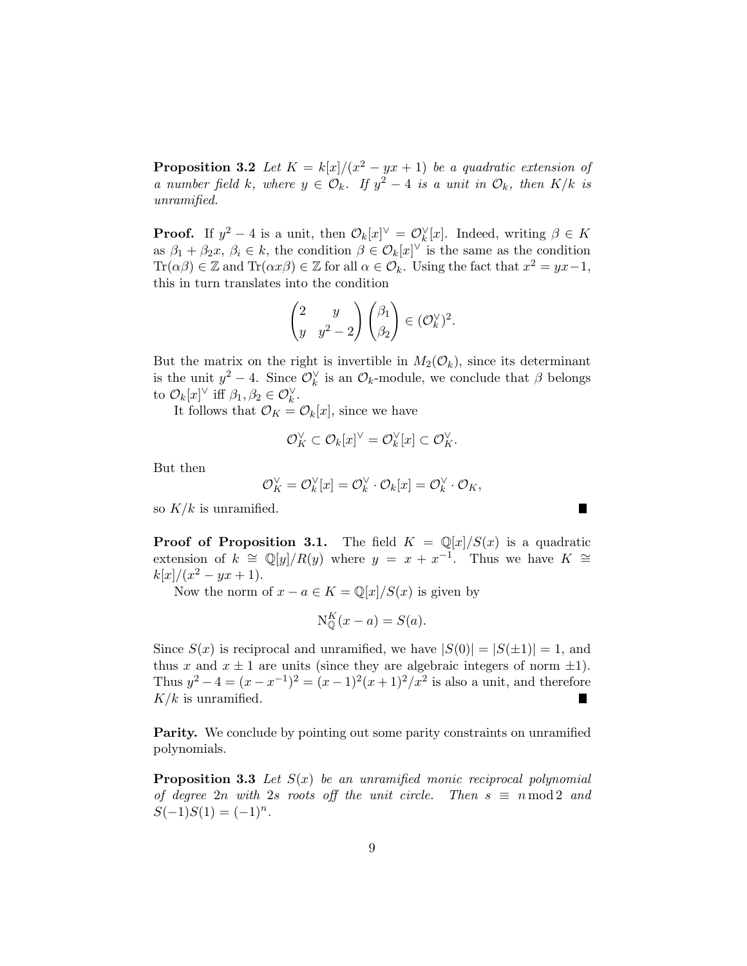**Proposition 3.2** Let  $K = k[x]/(x^2 - yx + 1)$  be a quadratic extension of *a* number field k, where  $y \in \mathcal{O}_k$ . If  $y^2 - 4$  *is a unit in*  $\mathcal{O}_k$ , then  $K/k$  *is unramified.*

**Proof.** If  $y^2 - 4$  is a unit, then  $\mathcal{O}_k[x]^\vee = \mathcal{O}_k^\vee[x]$ . Indeed, writing  $\beta \in K$ as  $\beta_1 + \beta_2 x$ ,  $\beta_i \in k$ , the condition  $\beta \in \mathcal{O}_k[x]^\vee$  is the same as the condition Tr( $\alpha\beta$ ) ∈ Z and Tr( $\alpha x\beta$ ) ∈ Z for all  $\alpha \in \mathcal{O}_k$ . Using the fact that  $x^2 = yx-1$ , this in turn translates into the condition

$$
\begin{pmatrix} 2 & y \ y & y^2 - 2 \end{pmatrix} \begin{pmatrix} \beta_1 \\ \beta_2 \end{pmatrix} \in (\mathcal{O}_k^{\vee})^2.
$$

But the matrix on the right is invertible in  $M_2(\mathcal{O}_k)$ , since its determinant is the unit  $y^2 - 4$ . Since  $\mathcal{O}_k^{\vee}$  is an  $\mathcal{O}_k$ -module, we conclude that  $\beta$  belongs to  $\mathcal{O}_k[x]^\vee$  iff  $\beta_1, \beta_2 \in \mathcal{O}_k^\vee$ .

It follows that  $\mathcal{O}_K = \mathcal{O}_k[x]$ , since we have

$$
\mathcal{O}_K^{\vee} \subset \mathcal{O}_k[x]^{\vee} = \mathcal{O}_k^{\vee}[x] \subset \mathcal{O}_K^{\vee}.
$$

But then

$$
\mathcal{O}_K^{\vee} = \mathcal{O}_k^{\vee}[x] = \mathcal{O}_k^{\vee} \cdot \mathcal{O}_k[x] = \mathcal{O}_k^{\vee} \cdot \mathcal{O}_K,
$$

Г

so  $K/k$  is unramified.

**Proof of Proposition 3.1.** The field  $K = \mathbb{Q}[x]/S(x)$  is a quadratic extension of  $k \cong \mathbb{Q}[y]/R(y)$  where  $y = x + x^{-1}$ . Thus we have  $K \cong$  $k[x]/(x^2 - yx + 1).$ 

Now the norm of  $x - a \in K = \mathbb{Q}[x]/S(x)$  is given by

$$
N_{\mathbb{Q}}^K(x-a) = S(a).
$$

Since  $S(x)$  is reciprocal and unramified, we have  $|S(0)| = |S(\pm 1)| = 1$ , and thus x and  $x \pm 1$  are units (since they are algebraic integers of norm  $\pm 1$ ). Thus  $y^2 - 4 = (x - x^{-1})^2 = (x - 1)^2(x + 1)^2/x^2$  is also a unit, and therefore  $K/k$  is unramified.

Parity. We conclude by pointing out some parity constraints on unramified polynomials.

Proposition 3.3 *Let* S(x) *be an unramified monic reciprocal polynomial of degree* 2n *with* 2s roots off the unit circle. Then  $s \equiv n \mod 2$  and  $S(-1)S(1) = (-1)^n$ .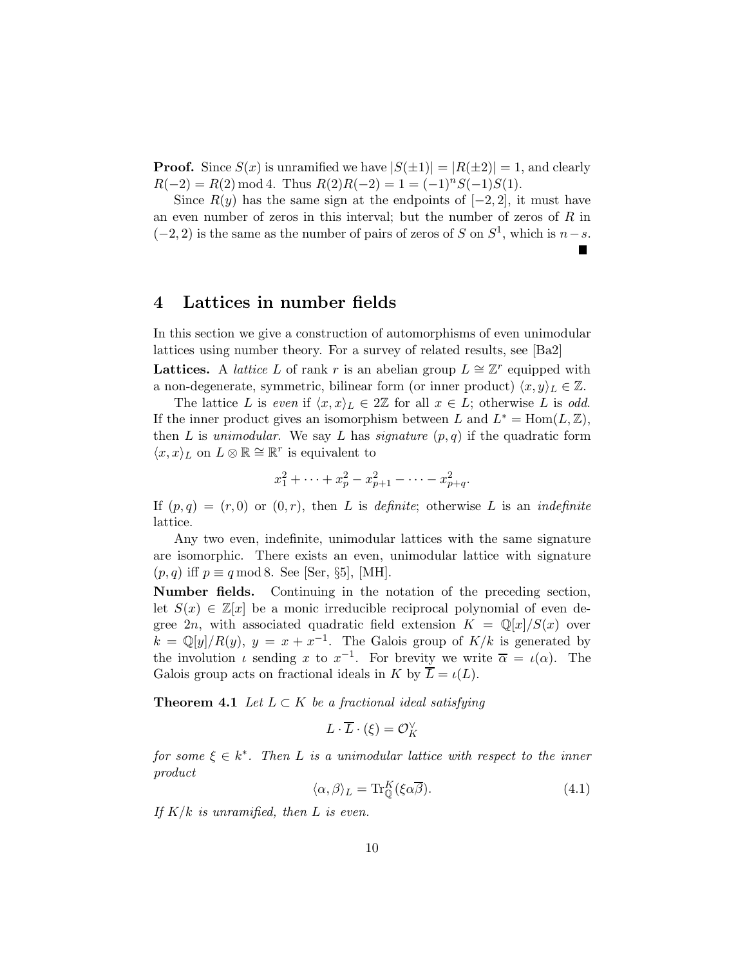**Proof.** Since  $S(x)$  is unramified we have  $|S(\pm 1)| = |R(\pm 2)| = 1$ , and clearly  $R(-2) = R(2) \mod 4$ . Thus  $R(2)R(-2) = 1 = (-1)^n S(-1)S(1)$ .

Since  $R(y)$  has the same sign at the endpoints of  $[-2, 2]$ , it must have an even number of zeros in this interval; but the number of zeros of  $R$  in  $(-2, 2)$  is the same as the number of pairs of zeros of S on  $S<sup>1</sup>$ , which is  $n-s$ .

#### 4 Lattices in number fields

In this section we give a construction of automorphisms of even unimodular lattices using number theory. For a survey of related results, see [Ba2] Lattices. A *lattice* L of rank r is an abelian group  $L \cong \mathbb{Z}^r$  equipped with a non-degenerate, symmetric, bilinear form (or inner product)  $\langle x,y\rangle_L \in \mathbb{Z}$ .

The lattice L is *even* if  $\langle x, x \rangle_L \in 2\mathbb{Z}$  for all  $x \in L$ ; otherwise L is *odd*. If the inner product gives an isomorphism between L and  $L^* = \text{Hom}(L, \mathbb{Z}),$ then  $L$  is *unimodular*. We say  $L$  has *signature*  $(p, q)$  if the quadratic form  $\langle x, x \rangle_L$  on  $L \otimes \mathbb{R} \cong \mathbb{R}^r$  is equivalent to

$$
x_1^2 + \dots + x_p^2 - x_{p+1}^2 - \dots - x_{p+q}^2.
$$

If  $(p,q) = (r,0)$  or  $(0,r)$ , then L is *definite*; otherwise L is an *indefinite* lattice.

Any two even, indefinite, unimodular lattices with the same signature are isomorphic. There exists an even, unimodular lattice with signature  $(p,q)$  iff  $p \equiv q \mod 8$ . See [Ser, §5], [MH].

Number fields. Continuing in the notation of the preceding section, let  $S(x) \in \mathbb{Z}[x]$  be a monic irreducible reciprocal polynomial of even degree 2n, with associated quadratic field extension  $K = \mathbb{Q}[x]/S(x)$  over  $k = \mathbb{Q}[y]/R(y)$ ,  $y = x + x^{-1}$ . The Galois group of  $K/k$  is generated by the involution  $\iota$  sending x to  $x^{-1}$ . For brevity we write  $\overline{\alpha} = \iota(\alpha)$ . The Galois group acts on fractional ideals in K by  $\overline{L} = \iota(L)$ .

**Theorem 4.1** *Let*  $L \subset K$  *be a fractional ideal satisfying* 

$$
L\cdot \overline{L}\cdot (\xi) = \mathcal{O}_K^\vee
$$

 $for some  $\xi \in k^*$ . Then L *is a unimodular lattice with respect to the inner*$ *product*

$$
\langle \alpha, \beta \rangle_L = \text{Tr}_{\mathbb{Q}}^K(\xi \alpha \overline{\beta}).\tag{4.1}
$$

*If* K/k *is unramified, then* L *is even.*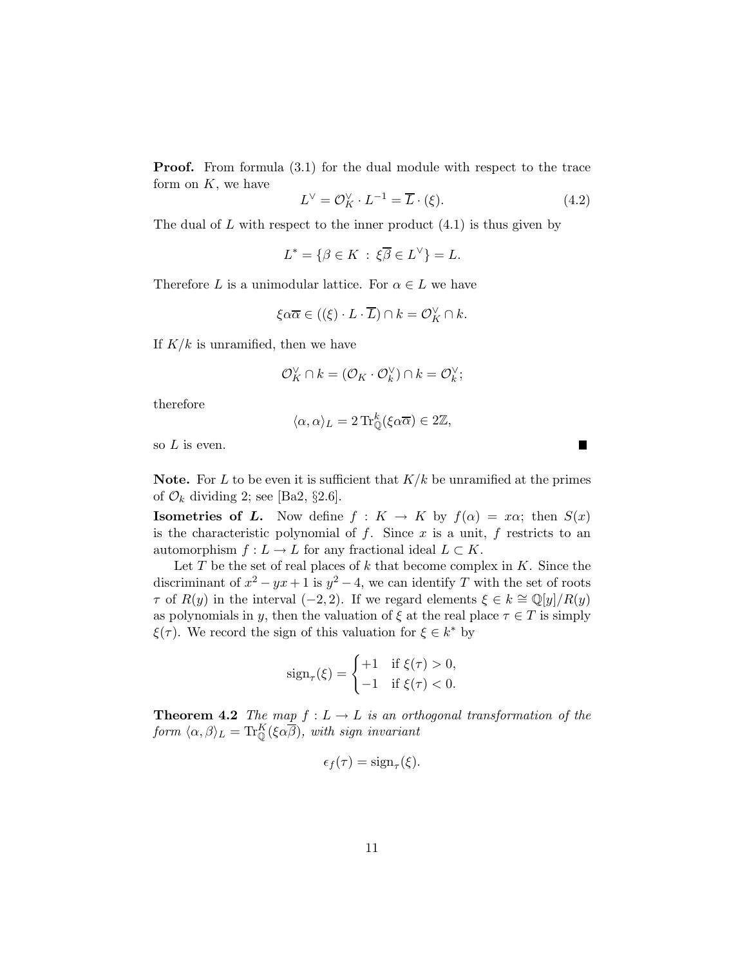**Proof.** From formula  $(3.1)$  for the dual module with respect to the trace form on  $K$ , we have

$$
L^{\vee} = \mathcal{O}_K^{\vee} \cdot L^{-1} = \overline{L} \cdot (\xi). \tag{4.2}
$$

 $\blacksquare$ 

The dual of  $L$  with respect to the inner product  $(4.1)$  is thus given by

$$
L^* = \{ \beta \in K \, : \, \xi \overline{\beta} \in L^{\vee} \} = L.
$$

Therefore L is a unimodular lattice. For  $\alpha \in L$  we have

$$
\xi \alpha \overline{\alpha} \in ((\xi) \cdot L \cdot \overline{L}) \cap k = \mathcal{O}_K^{\vee} \cap k.
$$

If  $K/k$  is unramified, then we have

$$
\mathcal{O}_K^{\vee} \cap k = (\mathcal{O}_K \cdot \mathcal{O}_k^{\vee}) \cap k = \mathcal{O}_k^{\vee};
$$

therefore

$$
\langle \alpha, \alpha \rangle_L = 2 \operatorname{Tr}_{\mathbb{Q}}^k(\xi \alpha \overline{\alpha}) \in 2\mathbb{Z},
$$

so  $L$  is even.

**Note.** For L to be even it is sufficient that  $K/k$  be unramified at the primes of  $\mathcal{O}_k$  dividing 2; see [Ba2, §2.6].

**Isometries of L.** Now define  $f: K \to K$  by  $f(\alpha) = x\alpha$ ; then  $S(x)$ is the characteristic polynomial of  $f$ . Since  $x$  is a unit,  $f$  restricts to an automorphism  $f: L \to L$  for any fractional ideal  $L \subset K$ .

Let  $T$  be the set of real places of  $k$  that become complex in  $K$ . Since the discriminant of  $x^2 - yx + 1$  is  $y^2 - 4$ , we can identify T with the set of roots  $\tau$  of  $R(y)$  in the interval (−2, 2). If we regard elements  $\xi \in k \cong \mathbb{Q}[y]/R(y)$ as polynomials in y, then the valuation of  $\xi$  at the real place  $\tau \in T$  is simply  $\xi(\tau)$ . We record the sign of this valuation for  $\xi \in k^*$  by

$$
sign_{\tau}(\xi) = \begin{cases} +1 & \text{if } \xi(\tau) > 0, \\ -1 & \text{if } \xi(\tau) < 0. \end{cases}
$$

**Theorem 4.2** *The map*  $f: L \to L$  *is an orthogonal transformation of the form*  $\langle \alpha, \beta \rangle_L = \text{Tr}_{\mathbb{Q}}^K(\xi \alpha \overline{\beta}), \text{ with sign invariant }$ 

$$
\epsilon_f(\tau) = \text{sign}_{\tau}(\xi).
$$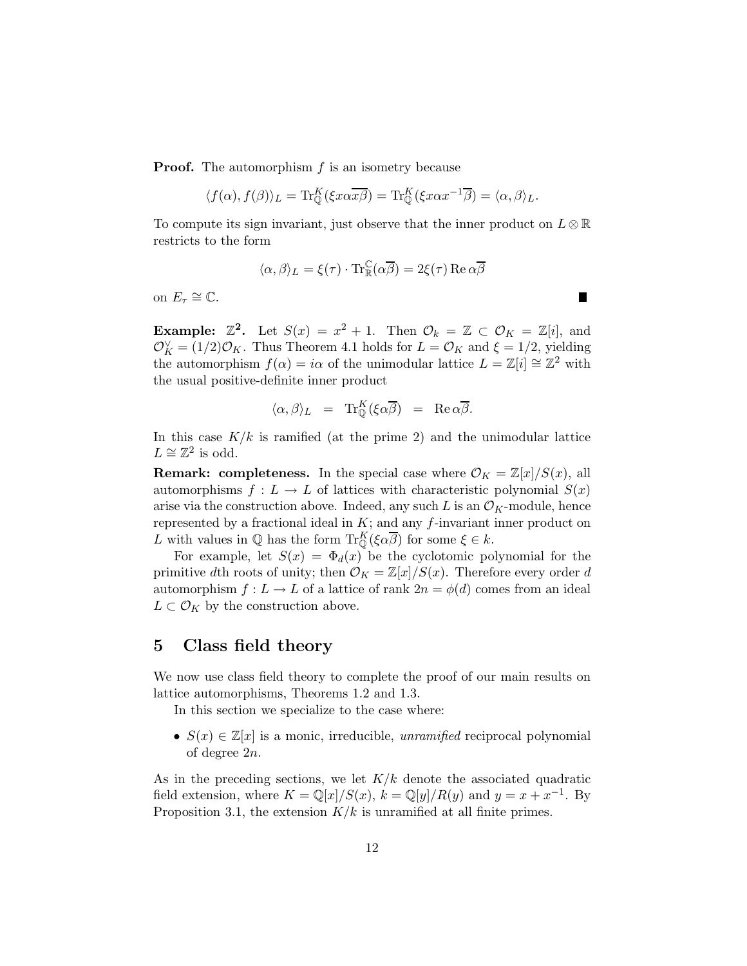**Proof.** The automorphism  $f$  is an isometry because

$$
\langle f(\alpha), f(\beta) \rangle_L = \text{Tr}_{\mathbb{Q}}^K(\xi x \alpha \overline{x \beta}) = \text{Tr}_{\mathbb{Q}}^K(\xi x \alpha x^{-1} \overline{\beta}) = \langle \alpha, \beta \rangle_L.
$$

To compute its sign invariant, just observe that the inner product on  $L \otimes \mathbb{R}$ restricts to the form

$$
\langle \alpha, \beta \rangle_L = \xi(\tau) \cdot \text{Tr}_{\mathbb{R}}^{\mathbb{C}}(\alpha \overline{\beta}) = 2\xi(\tau) \operatorname{Re} \alpha \overline{\beta}
$$

H.

on  $E_{\tau} \cong \mathbb{C}$ .

**Example:**  $\mathbb{Z}^2$ . Let  $S(x) = x^2 + 1$ . Then  $\mathcal{O}_k = \mathbb{Z} \subset \mathcal{O}_K = \mathbb{Z}[i]$ , and  $\mathcal{O}_K^{\vee} = (1/2)\mathcal{O}_K$ . Thus Theorem 4.1 holds for  $L = \mathcal{O}_K$  and  $\xi = 1/2$ , yielding the automorphism  $f(\alpha) = i\alpha$  of the unimodular lattice  $L = \mathbb{Z}[i] \cong \mathbb{Z}^2$  with the usual positive-definite inner product

$$
\langle \alpha, \beta \rangle_L = \text{Tr}_{\mathbb{Q}}^K(\xi \alpha \overline{\beta}) = \text{Re } \alpha \overline{\beta}.
$$

In this case  $K/k$  is ramified (at the prime 2) and the unimodular lattice  $L \cong \mathbb{Z}^2$  is odd.

**Remark: completeness.** In the special case where  $\mathcal{O}_K = \mathbb{Z}[x]/S(x)$ , all automorphisms  $f: L \to L$  of lattices with characteristic polynomial  $S(x)$ arise via the construction above. Indeed, any such L is an  $\mathcal{O}_K$ -module, hence represented by a fractional ideal in  $K$ ; and any  $f$ -invariant inner product on L with values in  $\mathbb Q$  has the form  $\mathrm{Tr}^K_{\mathbb Q}(\xi \alpha \overline{\beta})$  for some  $\xi \in k$ .

For example, let  $S(x) = \Phi_d(x)$  be the cyclotomic polynomial for the primitive dth roots of unity; then  $\mathcal{O}_K = \mathbb{Z}[x]/S(x)$ . Therefore every order d automorphism  $f: L \to L$  of a lattice of rank  $2n = \phi(d)$  comes from an ideal  $L \subset \mathcal{O}_K$  by the construction above.

#### 5 Class field theory

We now use class field theory to complete the proof of our main results on lattice automorphisms, Theorems 1.2 and 1.3.

In this section we specialize to the case where:

•  $S(x) \in \mathbb{Z}[x]$  is a monic, irreducible, *unramified* reciprocal polynomial of degree 2n.

As in the preceding sections, we let  $K/k$  denote the associated quadratic field extension, where  $K = \mathbb{Q}[x]/S(x)$ ,  $k = \mathbb{Q}[y]/R(y)$  and  $y = x + x^{-1}$ . By Proposition 3.1, the extension  $K/k$  is unramified at all finite primes.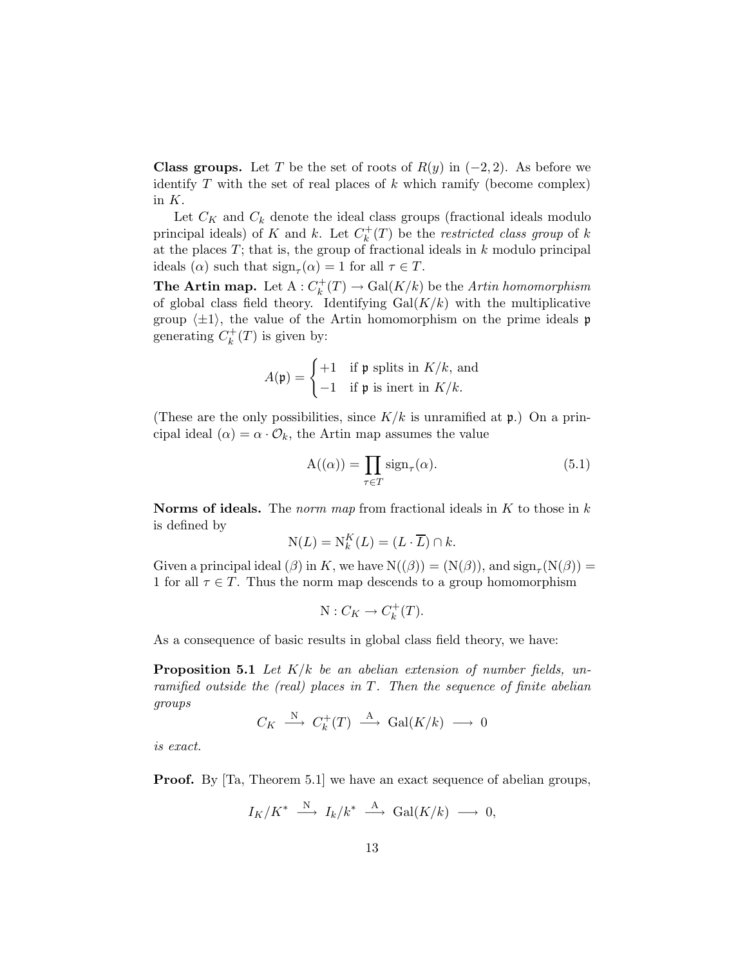**Class groups.** Let T be the set of roots of  $R(y)$  in  $(-2, 2)$ . As before we identify  $T$  with the set of real places of  $k$  which ramify (become complex) in K.

Let  $C_K$  and  $C_k$  denote the ideal class groups (fractional ideals modulo principal ideals) of K and k. Let  $C_k^+$  $\binom{m}{k}(T)$  be the *restricted class group* of k at the places  $T$ ; that is, the group of fractional ideals in  $k$  modulo principal ideals ( $\alpha$ ) such that  $sign_{\tau}(\alpha) = 1$  for all  $\tau \in T$ .

The Artin map. Let  $A: C_k^+$  $\chi_k^+(T) \to \mathrm{Gal}(K/k)$  be the *Artin homomorphism* of global class field theory. Identifying  $Gal(K/k)$  with the multiplicative group  $\langle \pm 1 \rangle$ , the value of the Artin homomorphism on the prime ideals p generating  $C_k^+$  $\binom{H^+}{k}(T)$  is given by:

$$
A(\mathfrak{p}) = \begin{cases} +1 & \text{if } \mathfrak{p} \text{ splits in } K/k, \text{ and} \\ -1 & \text{if } \mathfrak{p} \text{ is inert in } K/k. \end{cases}
$$

(These are the only possibilities, since  $K/k$  is unramified at  $\mathfrak{p}$ .) On a principal ideal  $(\alpha) = \alpha \cdot \mathcal{O}_k$ , the Artin map assumes the value

$$
A((\alpha)) = \prod_{\tau \in T} sign_{\tau}(\alpha).
$$
 (5.1)

Norms of ideals. The *norm map* from fractional ideals in K to those in k is defined by

$$
N(L) = N_k^K(L) = (L \cdot \overline{L}) \cap k.
$$

Given a principal ideal ( $\beta$ ) in K, we have  $N((\beta)) = (N(\beta))$ , and  $sign_{\tau}(N(\beta)) =$ 1 for all  $\tau \in T$ . Thus the norm map descends to a group homomorphism

$$
N:C_K\to C_k^+(T).
$$

As a consequence of basic results in global class field theory, we have:

Proposition 5.1 *Let* K/k *be an abelian extension of number fields, unramified outside the (real) places in* T*. Then the sequence of finite abelian groups*

$$
C_K \stackrel{\rm N}{\longrightarrow} C_k^+(T) \stackrel{\rm A}{\longrightarrow} \text{Gal}(K/k) \longrightarrow 0
$$

*is exact.*

**Proof.** By [Ta, Theorem 5.1] we have an exact sequence of abelian groups,

$$
I_K/K^* \; \overset{\rm N}{\longrightarrow} \; I_k/k^* \; \overset{\rm A}{\longrightarrow} \; \text{Gal}(K/k) \; \longrightarrow \; 0,
$$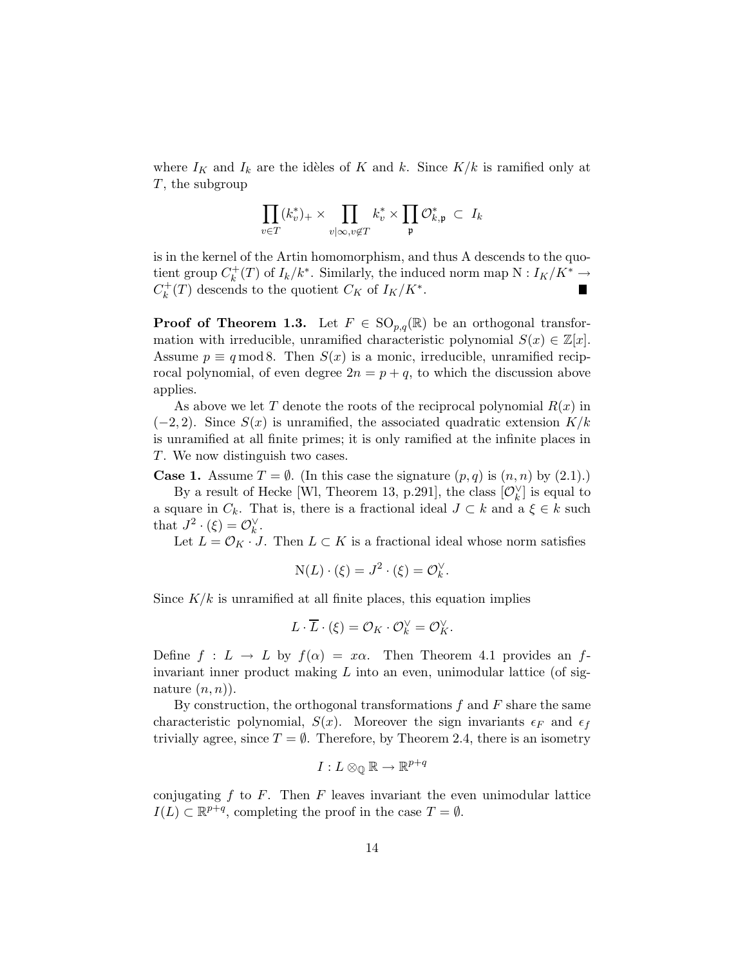where  $I_K$  and  $I_k$  are the idèles of K and k. Since  $K/k$  is ramified only at T, the subgroup

$$
\prod_{v\in T}(k_v^*)_+\times\prod_{v|\infty,v\not\in T}k_v^*\times\prod_{\mathfrak{p}}\mathcal{O}_{k,\mathfrak{p}}^*\;\subset\;I_k
$$

is in the kernel of the Artin homomorphism, and thus A descends to the quotient group  $C_k^+$  $k<sup>+</sup>(T)$  of  $I<sub>k</sub>/k<sup>*</sup>$ . Similarly, the induced norm map N :  $I<sub>K</sub>/K<sup>*</sup>$  →  $C_k^+$  $k<sup>+</sup>(T)$  descends to the quotient  $C_K$  of  $I_K/K^*$ .

**Proof of Theorem 1.3.** Let  $F \in SO_{n,q}(\mathbb{R})$  be an orthogonal transformation with irreducible, unramified characteristic polynomial  $S(x) \in \mathbb{Z}[x]$ . Assume  $p \equiv q \mod 8$ . Then  $S(x)$  is a monic, irreducible, unramified reciprocal polynomial, of even degree  $2n = p + q$ , to which the discussion above applies.

As above we let T denote the roots of the reciprocal polynomial  $R(x)$  in  $(-2, 2)$ . Since  $S(x)$  is unramified, the associated quadratic extension  $K/k$ is unramified at all finite primes; it is only ramified at the infinite places in T. We now distinguish two cases.

**Case 1.** Assume  $T = \emptyset$ . (In this case the signature  $(p, q)$  is  $(n, n)$  by  $(2.1)$ .)

By a result of Hecke [Wl, Theorem 13, p.291], the class  $[\mathcal{O}_k^{\vee}]$  is equal to a square in  $C_k$ . That is, there is a fractional ideal  $J \subset k$  and a  $\xi \in k$  such that  $J^2 \cdot (\xi) = \mathcal{O}_k^{\vee}$ .

Let  $L = \mathcal{O}_K \cdot J$ . Then  $L \subset K$  is a fractional ideal whose norm satisfies

$$
N(L) \cdot (\xi) = J^2 \cdot (\xi) = \mathcal{O}_k^{\vee}.
$$

Since  $K/k$  is unramified at all finite places, this equation implies

$$
L \cdot \overline{L} \cdot (\xi) = \mathcal{O}_K \cdot \mathcal{O}_k^{\vee} = \mathcal{O}_K^{\vee}.
$$

Define  $f: L \to L$  by  $f(\alpha) = x\alpha$ . Then Theorem 4.1 provides an finvariant inner product making  $L$  into an even, unimodular lattice (of signature  $(n,n)$ ).

By construction, the orthogonal transformations  $f$  and  $F$  share the same characteristic polynomial,  $S(x)$ . Moreover the sign invariants  $\epsilon_F$  and  $\epsilon_f$ trivially agree, since  $T = \emptyset$ . Therefore, by Theorem 2.4, there is an isometry

$$
I:L\otimes_{\mathbb{Q}}\mathbb{R}\to\mathbb{R}^{p+q}
$$

conjugating  $f$  to  $F$ . Then  $F$  leaves invariant the even unimodular lattice  $I(L) \subset \mathbb{R}^{p+q}$ , completing the proof in the case  $T = \emptyset$ .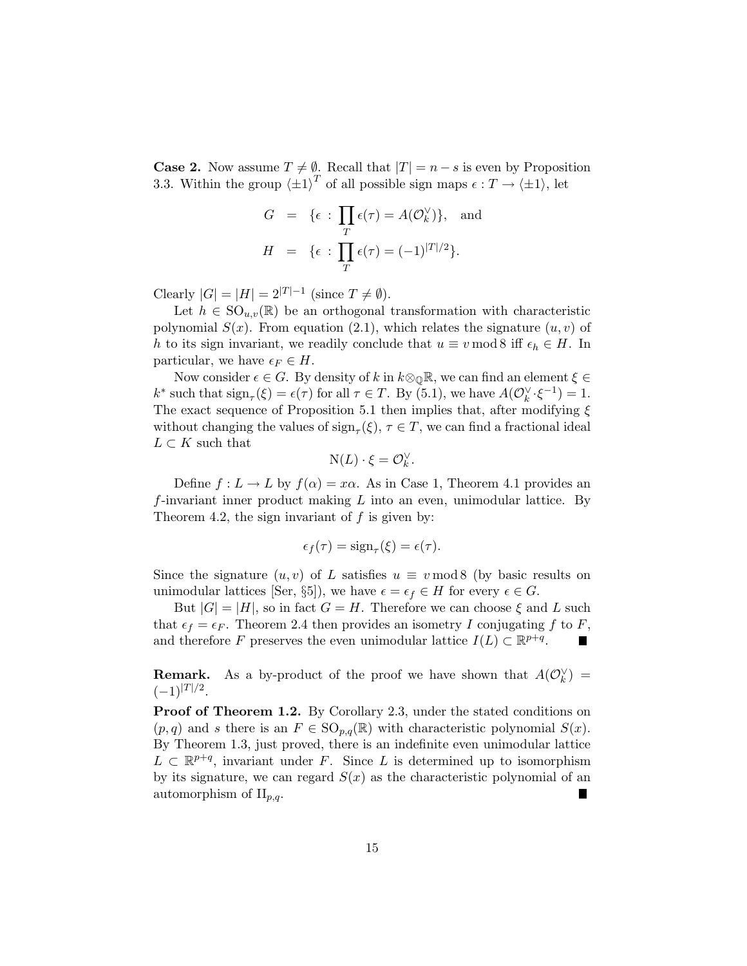**Case 2.** Now assume  $T \neq \emptyset$ . Recall that  $|T| = n - s$  is even by Proposition 3.3. Within the group  $\langle \pm 1 \rangle^T$  of all possible sign maps  $\epsilon : T \to \langle \pm 1 \rangle$ , let

$$
G = \{ \epsilon : \prod_{T} \epsilon(\tau) = A(\mathcal{O}_{k}^{\vee}) \}, \text{ and}
$$

$$
H = \{ \epsilon : \prod_{T} \epsilon(\tau) = (-1)^{|T|/2} \}.
$$

Clearly  $|G| = |H| = 2^{|T|-1}$  (since  $T \neq \emptyset$ ).

Let  $h \in \text{SO}_{u,v}(\mathbb{R})$  be an orthogonal transformation with characteristic polynomial  $S(x)$ . From equation (2.1), which relates the signature  $(u, v)$  of h to its sign invariant, we readily conclude that  $u \equiv v \mod 8$  iff  $\epsilon_h \in H$ . In particular, we have  $\epsilon_F \in H$ .

Now consider  $\epsilon \in G$ . By density of k in  $k \otimes_{\mathbb{Q}} \mathbb{R}$ , we can find an element  $\xi \in$  $k^*$  such that  $\text{sign}_{\tau}(\xi) = \epsilon(\tau)$  for all  $\tau \in T$ . By (5.1), we have  $A(\mathcal{O}_k^{\vee} \cdot \xi^{-1}) = 1$ . The exact sequence of Proposition 5.1 then implies that, after modifying  $\xi$ without changing the values of  $\operatorname{sign}_{\tau}(\xi)$ ,  $\tau \in T$ , we can find a fractional ideal  $L \subset K$  such that

$$
N(L)\cdot \xi = \mathcal{O}_k^{\vee}.
$$

Define  $f: L \to L$  by  $f(\alpha) = x\alpha$ . As in Case 1, Theorem 4.1 provides an  $f$ -invariant inner product making  $L$  into an even, unimodular lattice. By Theorem 4.2, the sign invariant of  $f$  is given by:

$$
\epsilon_f(\tau) = \operatorname{sign}_{\tau}(\xi) = \epsilon(\tau).
$$

Since the signature  $(u, v)$  of L satisfies  $u \equiv v \mod 8$  (by basic results on unimodular lattices [Ser, §5]), we have  $\epsilon = \epsilon_f \in H$  for every  $\epsilon \in G$ .

But  $|G| = |H|$ , so in fact  $G = H$ . Therefore we can choose  $\xi$  and L such that  $\epsilon_f = \epsilon_F$ . Theorem 2.4 then provides an isometry I conjugating f to F, and therefore F preserves the even unimodular lattice  $I(L) \subset \mathbb{R}^{p+q}$ .

**Remark.** As a by-product of the proof we have shown that  $A(\mathcal{O}_k^{\vee}) =$  $(-1)^{|T|/2}.$ 

Proof of Theorem 1.2. By Corollary 2.3, under the stated conditions on  $(p,q)$  and s there is an  $F \in \text{SO}_{p,q}(\mathbb{R})$  with characteristic polynomial  $S(x)$ . By Theorem 1.3, just proved, there is an indefinite even unimodular lattice  $L \subset \mathbb{R}^{p+q}$ , invariant under F. Since L is determined up to isomorphism by its signature, we can regard  $S(x)$  as the characteristic polynomial of an automorphism of  $II_{p,q}$ .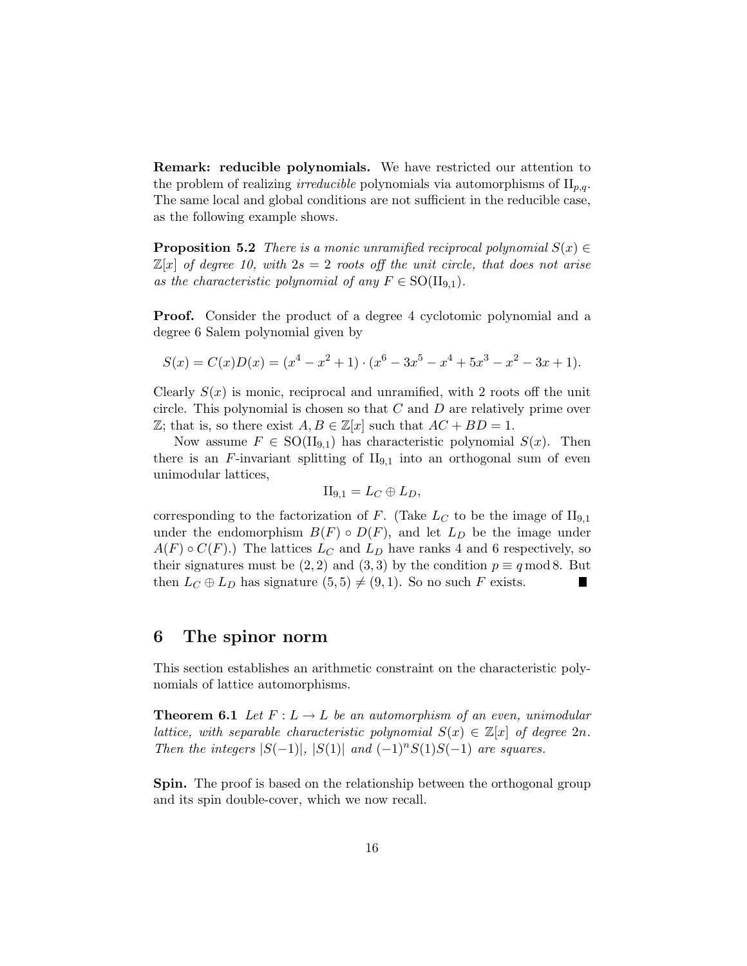Remark: reducible polynomials. We have restricted our attention to the problem of realizing *irreducible* polynomials via automorphisms of  $II_{p,q}$ . The same local and global conditions are not sufficient in the reducible case, as the following example shows.

**Proposition 5.2** *There is a monic unramified reciprocal polynomial*  $S(x) \in$  $\mathbb{Z}[x]$  *of degree 10, with*  $2s = 2$  *roots off the unit circle, that does not arise* as the characteristic polynomial of any  $F \in SO(II_{9,1})$ .

Proof. Consider the product of a degree 4 cyclotomic polynomial and a degree 6 Salem polynomial given by

$$
S(x) = C(x)D(x) = (x4 – x2 + 1) \cdot (x6 – 3x5 – x4 + 5x3 – x2 – 3x + 1).
$$

Clearly  $S(x)$  is monic, reciprocal and unramified, with 2 roots off the unit circle. This polynomial is chosen so that  $C$  and  $D$  are relatively prime over  $\mathbb{Z}$ ; that is, so there exist  $A, B \in \mathbb{Z}[x]$  such that  $AC + BD = 1$ .

Now assume  $F \in SO(II_{9,1})$  has characteristic polynomial  $S(x)$ . Then there is an  $F$ -invariant splitting of  $II_{9,1}$  into an orthogonal sum of even unimodular lattices,

$$
II_{9,1}=L_C\oplus L_D,
$$

corresponding to the factorization of F. (Take  $L_C$  to be the image of  $II_{9,1}$ under the endomorphism  $B(F) \circ D(F)$ , and let  $L_D$  be the image under  $A(F) \circ C(F)$ .) The lattices  $L_C$  and  $L_D$  have ranks 4 and 6 respectively, so their signatures must be (2, 2) and (3, 3) by the condition  $p \equiv q \mod 8$ . But then  $L_C \oplus L_D$  has signature  $(5, 5) \neq (9, 1)$ . So no such F exists.

#### 6 The spinor norm

This section establishes an arithmetic constraint on the characteristic polynomials of lattice automorphisms.

**Theorem 6.1** Let  $F: L \to L$  be an automorphism of an even, unimodular *lattice, with separable characteristic polynomial*  $S(x) \in \mathbb{Z}[x]$  *of degree*  $2n$ *. Then the integers*  $|S(-1)|$ ,  $|S(1)|$  *and*  $(-1)^n S(1)S(-1)$  *are squares.* 

Spin. The proof is based on the relationship between the orthogonal group and its spin double-cover, which we now recall.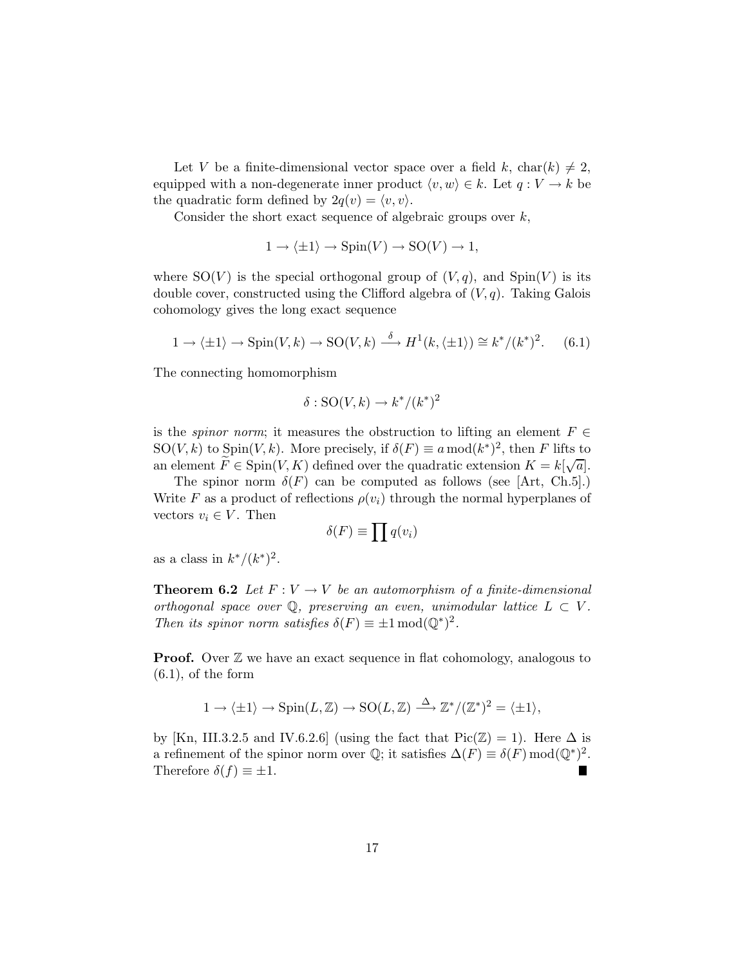Let V be a finite-dimensional vector space over a field k, char(k)  $\neq 2$ , equipped with a non-degenerate inner product  $\langle v, w \rangle \in k$ . Let  $q : V \to k$  be the quadratic form defined by  $2q(v) = \langle v, v \rangle$ .

Consider the short exact sequence of algebraic groups over  $k$ ,

$$
1 \to \langle \pm 1 \rangle \to \text{Spin}(V) \to \text{SO}(V) \to 1,
$$

where  $SO(V)$  is the special orthogonal group of  $(V, q)$ , and  $Spin(V)$  is its double cover, constructed using the Clifford algebra of  $(V, q)$ . Taking Galois cohomology gives the long exact sequence

$$
1 \to \langle \pm 1 \rangle \to \text{Spin}(V, k) \to \text{SO}(V, k) \xrightarrow{\delta} H^1(k, \langle \pm 1 \rangle) \cong k^*/(k^*)^2. \tag{6.1}
$$

The connecting homomorphism

$$
\delta: \mathrm{SO}(V,k) \to k^*/(k^*)^2
$$

is the *spinor norm*; it measures the obstruction to lifting an element  $F \in$ SO(*V*, *k*) to  $\text{Spin}(V, k)$ . More precisely, if  $\delta(F) \equiv a \mod (k^*)^2$ , then *F* lifts to an element  $\widetilde{F} \in \text{Spin}(V,K)$  defined over the quadratic extension  $K = k[\sqrt{a}]$ .

The spinor norm  $\delta(F)$  can be computed as follows (see [Art, Ch.5].) Write F as a product of reflections  $\rho(v_i)$  through the normal hyperplanes of vectors  $v_i \in V$ . Then

$$
\delta(F) \equiv \prod q(v_i)
$$

as a class in  $k^*/(k^*)^2$ .

**Theorem 6.2** *Let*  $F: V \to V$  *be an automorphism of a finite-dimensional orthogonal space over*  $\mathbb{Q}$ *, preserving an even, unimodular lattice*  $L \subset V$ *. Then its spinor norm satisfies*  $\delta(F) \equiv \pm 1 \mod (Q^*)^2$ .

**Proof.** Over  $\mathbb{Z}$  we have an exact sequence in flat cohomology, analogous to  $(6.1)$ , of the form

$$
1 \to \langle \pm 1 \rangle \to \operatorname{Spin}(L, \mathbb{Z}) \to \operatorname{SO}(L, \mathbb{Z}) \xrightarrow{\Delta} \mathbb{Z}^*/(\mathbb{Z}^*)^2 = \langle \pm 1 \rangle,
$$

by [Kn, III.3.2.5 and IV.6.2.6] (using the fact that  $Pic(\mathbb{Z}) = 1$ ). Here  $\Delta$  is a refinement of the spinor norm over  $\mathbb{Q}$ ; it satisfies  $\Delta(F) \equiv \delta(F) \mod (\mathbb{Q}^*)^2$ . Therefore  $\delta(f) \equiv \pm 1$ .  $\blacksquare$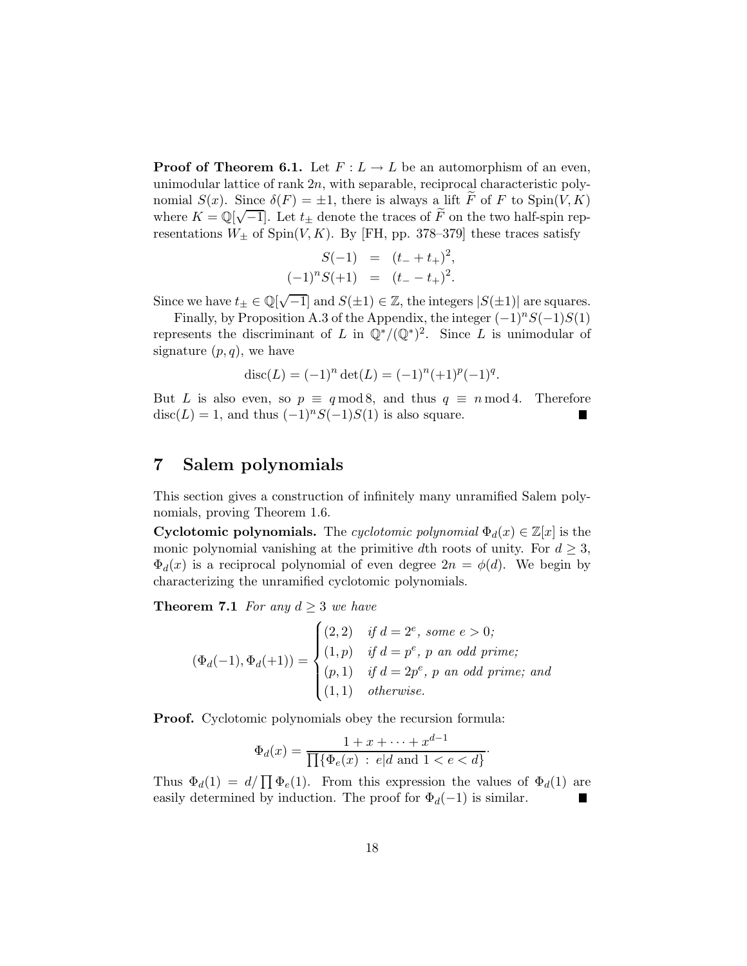**Proof of Theorem 6.1.** Let  $F: L \to L$  be an automorphism of an even, unimodular lattice of rank 2n, with separable, reciprocal characteristic polynomial  $S(x)$ . Since  $\delta(F) = \pm 1$ , there is always a lift F of F to Spin(V, K) where  $K = \mathbb{Q}[\sqrt{-1}]$ . Let  $t_{\pm}$  denote the traces of  $\tilde{F}$  on the two half-spin representations  $W_{\pm}$  of Spin(V, K). By [FH, pp. 378–379] these traces satisfy

$$
S(-1) = (t_- + t_+)^2,
$$
  

$$
(-1)^n S(+1) = (t_- - t_+)^2.
$$

Since we have  $t_{\pm} \in \mathbb{Q}[\sqrt{-1}]$  and  $S(\pm 1) \in \mathbb{Z}$ , the integers  $|S(\pm 1)|$  are squares.

Finally, by Proposition A.3 of the Appendix, the integer  $(-1)^nS(-1)S(1)$ represents the discriminant of L in  $\mathbb{Q}^*/(\mathbb{Q}^*)^2$ . Since L is unimodular of signature  $(p,q)$ , we have

$$
disc(L) = (-1)^n det(L) = (-1)^n (+1)^p (-1)^q.
$$

But L is also even, so  $p \equiv q \mod 8$ , and thus  $q \equiv n \mod 4$ . Therefore  $\text{disc}(L) = 1$ , and thus  $(-1)^n S(-1)S(1)$  is also square.  $\text{disc}(L) = 1$ , and thus  $(-1)^n S(-1)S(1)$  is also square.

### 7 Salem polynomials

This section gives a construction of infinitely many unramified Salem polynomials, proving Theorem 1.6.

Cyclotomic polynomials. The *cyclotomic polynomial*  $\Phi_d(x) \in \mathbb{Z}[x]$  is the monic polynomial vanishing at the primitive dth roots of unity. For  $d \geq 3$ ,  $\Phi_d(x)$  is a reciprocal polynomial of even degree  $2n = \phi(d)$ . We begin by characterizing the unramified cyclotomic polynomials.

**Theorem 7.1** *For any*  $d \geq 3$  *we have* 

$$
(\Phi_d(-1), \Phi_d(+1)) = \begin{cases} (2, 2) & \text{if } d = 2^e, \text{ some } e > 0; \\ (1, p) & \text{if } d = p^e, \text{ p an odd prime}; \\ (p, 1) & \text{if } d = 2p^e, \text{ p an odd prime}; \text{ and } \\ (1, 1) & \text{otherwise}. \end{cases}
$$

Proof. Cyclotomic polynomials obey the recursion formula:

$$
\Phi_d(x) = \frac{1 + x + \dots + x^{d-1}}{\prod{\{\Phi_e(x) : e | d \text{ and } 1 < e < d\}}}.
$$

Thus  $\Phi_d(1) = d/\prod \Phi_e(1)$ . From this expression the values of  $\Phi_d(1)$  are easily determined by induction. The proof for  $\Phi_d(-1)$  is similar.  $\blacksquare$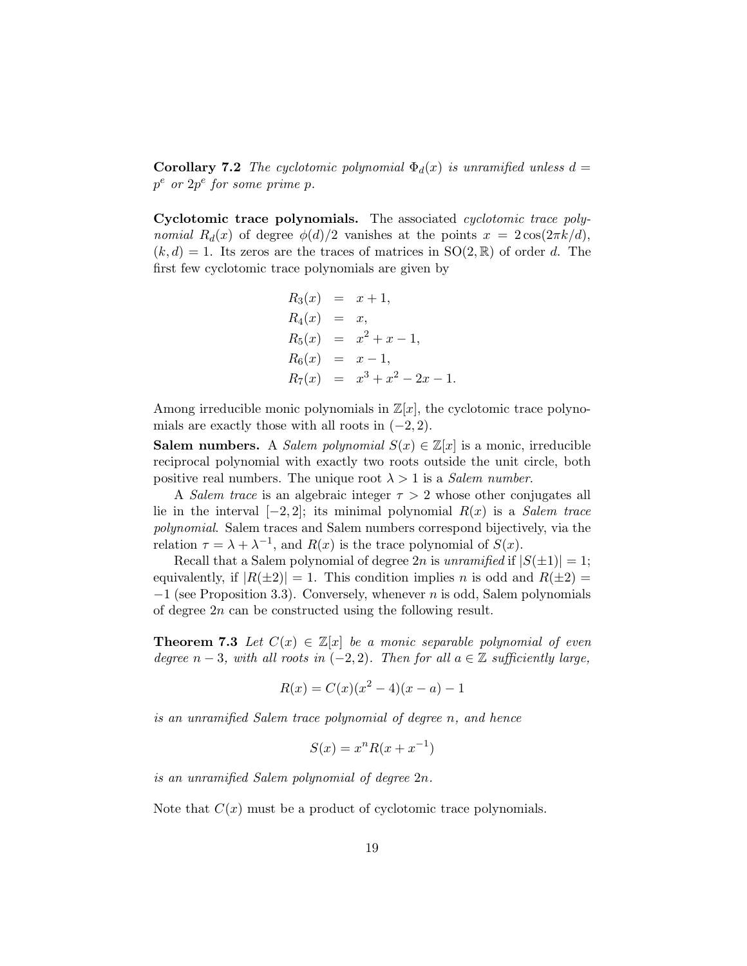**Corollary 7.2** *The cyclotomic polynomial*  $\Phi_d(x)$  *is unramified unless*  $d =$ p <sup>e</sup> *or* 2p e *for some prime* p*.*

Cyclotomic trace polynomials. The associated *cyclotomic trace polynomial*  $R_d(x)$  of degree  $\phi(d)/2$  vanishes at the points  $x = 2\cos(2\pi k/d)$ ,  $(k, d) = 1$ . Its zeros are the traces of matrices in  $SO(2, \mathbb{R})$  of order d. The first few cyclotomic trace polynomials are given by

$$
R_3(x) = x + 1,
$$
  
\n
$$
R_4(x) = x,
$$
  
\n
$$
R_5(x) = x^2 + x - 1,
$$
  
\n
$$
R_6(x) = x - 1,
$$
  
\n
$$
R_7(x) = x^3 + x^2 - 2x - 1.
$$

Among irreducible monic polynomials in  $\mathbb{Z}[x]$ , the cyclotomic trace polynomials are exactly those with all roots in  $(-2, 2)$ .

**Salem numbers.** A *Salem polynomial*  $S(x) \in \mathbb{Z}[x]$  is a monic, irreducible reciprocal polynomial with exactly two roots outside the unit circle, both positive real numbers. The unique root  $\lambda > 1$  is a *Salem number*.

A *Salem trace* is an algebraic integer  $\tau > 2$  whose other conjugates all lie in the interval [−2, 2]; its minimal polynomial R(x) is a *Salem trace polynomial*. Salem traces and Salem numbers correspond bijectively, via the relation  $\tau = \lambda + \lambda^{-1}$ , and  $R(x)$  is the trace polynomial of  $S(x)$ .

Recall that a Salem polynomial of degree 2n is *unramified* if  $|S(\pm 1)| = 1$ ; equivalently, if  $|R(\pm 2)| = 1$ . This condition implies n is odd and  $R(\pm 2) =$  $-1$  (see Proposition 3.3). Conversely, whenever n is odd, Salem polynomials of degree 2n can be constructed using the following result.

**Theorem 7.3** Let  $C(x) \in \mathbb{Z}[x]$  be a monic separable polynomial of even *degree*  $n-3$ *, with all roots in*  $(-2, 2)$ *. Then for all*  $a \in \mathbb{Z}$  *sufficiently large,* 

$$
R(x) = C(x)(x^2 - 4)(x - a) - 1
$$

*is an unramified Salem trace polynomial of degree* n*, and hence*

$$
S(x) = x^n R(x + x^{-1})
$$

*is an unramified Salem polynomial of degree* 2n*.*

Note that  $C(x)$  must be a product of cyclotomic trace polynomials.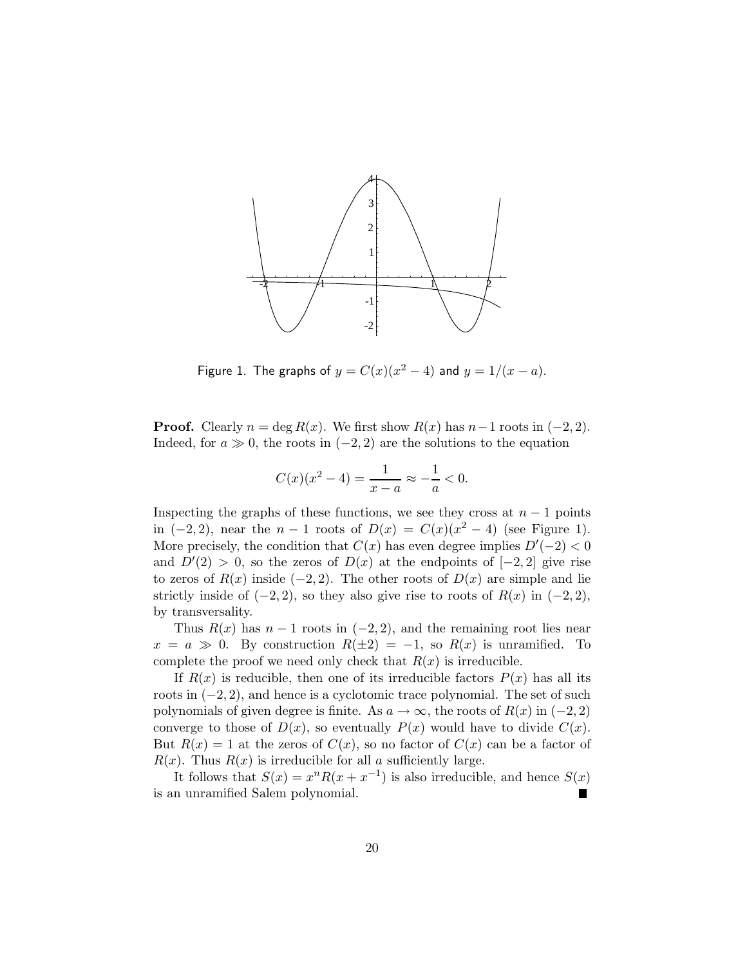

Figure 1. The graphs of  $y = C(x)(x^2 - 4)$  and  $y = 1/(x - a)$ .

**Proof.** Clearly  $n = \deg R(x)$ . We first show  $R(x)$  has  $n-1$  roots in  $(-2, 2)$ . Indeed, for  $a \gg 0$ , the roots in  $(-2, 2)$  are the solutions to the equation

$$
C(x)(x^{2}-4) = \frac{1}{x-a} \approx -\frac{1}{a} < 0.
$$

Inspecting the graphs of these functions, we see they cross at  $n-1$  points in  $(-2, 2)$ , near the  $n - 1$  roots of  $D(x) = C(x)(x^2 - 4)$  (see Figure 1). More precisely, the condition that  $C(x)$  has even degree implies  $D'(-2) < 0$ and  $D'(2) > 0$ , so the zeros of  $D(x)$  at the endpoints of  $[-2, 2]$  give rise to zeros of  $R(x)$  inside (−2, 2). The other roots of  $D(x)$  are simple and lie strictly inside of  $(-2, 2)$ , so they also give rise to roots of  $R(x)$  in  $(-2, 2)$ , by transversality.

Thus  $R(x)$  has  $n-1$  roots in  $(-2, 2)$ , and the remaining root lies near  $x = a \gg 0$ . By construction  $R(\pm 2) = -1$ , so  $R(x)$  is unramified. To complete the proof we need only check that  $R(x)$  is irreducible.

If  $R(x)$  is reducible, then one of its irreducible factors  $P(x)$  has all its roots in  $(-2, 2)$ , and hence is a cyclotomic trace polynomial. The set of such polynomials of given degree is finite. As  $a \to \infty$ , the roots of  $R(x)$  in (−2, 2) converge to those of  $D(x)$ , so eventually  $P(x)$  would have to divide  $C(x)$ . But  $R(x) = 1$  at the zeros of  $C(x)$ , so no factor of  $C(x)$  can be a factor of  $R(x)$ . Thus  $R(x)$  is irreducible for all a sufficiently large.

It follows that  $S(x) = x^n R(x + x^{-1})$  is also irreducible, and hence  $S(x)$ is an unramified Salem polynomial.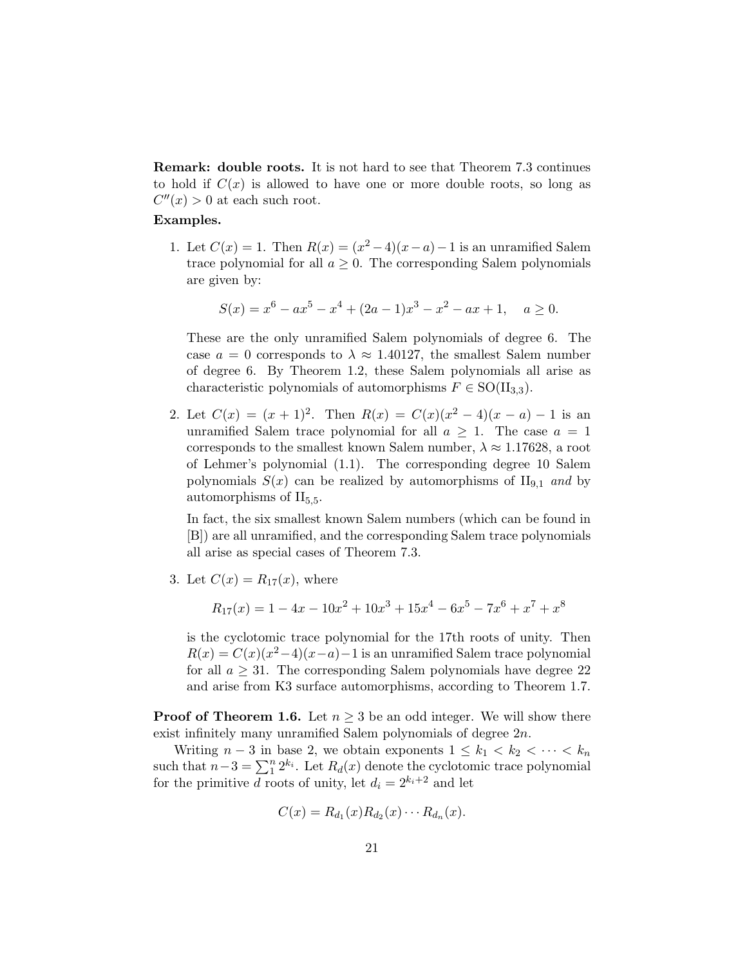Remark: double roots. It is not hard to see that Theorem 7.3 continues to hold if  $C(x)$  is allowed to have one or more double roots, so long as  $C''(x) > 0$  at each such root.

#### Examples.

1. Let  $C(x) = 1$ . Then  $R(x) = (x^2 - 4)(x - a) - 1$  is an unramified Salem trace polynomial for all  $a \geq 0$ . The corresponding Salem polynomials are given by:

$$
S(x) = x6 - ax5 - x4 + (2a - 1)x3 - x2 - ax + 1, \quad a \ge 0.
$$

These are the only unramified Salem polynomials of degree 6. The case  $a = 0$  corresponds to  $\lambda \approx 1.40127$ , the smallest Salem number of degree 6. By Theorem 1.2, these Salem polynomials all arise as characteristic polynomials of automorphisms  $F \in SO(H_{3,3})$ .

2. Let  $C(x) = (x+1)^2$ . Then  $R(x) = C(x)(x^2-4)(x-a) - 1$  is an unramified Salem trace polynomial for all  $a \geq 1$ . The case  $a = 1$ corresponds to the smallest known Salem number,  $\lambda \approx 1.17628$ , a root of Lehmer's polynomial (1.1). The corresponding degree 10 Salem polynomials  $S(x)$  can be realized by automorphisms of  $II_{9,1}$  and by automorphisms of  $II_{5,5}$ .

In fact, the six smallest known Salem numbers (which can be found in [B]) are all unramified, and the corresponding Salem trace polynomials all arise as special cases of Theorem 7.3.

3. Let  $C(x) = R_{17}(x)$ , where

$$
R_{17}(x) = 1 - 4x - 10x^{2} + 10x^{3} + 15x^{4} - 6x^{5} - 7x^{6} + x^{7} + x^{8}
$$

is the cyclotomic trace polynomial for the 17th roots of unity. Then  $R(x) = C(x)(x^2-4)(x-a) - 1$  is an unramified Salem trace polynomial for all  $a \geq 31$ . The corresponding Salem polynomials have degree 22 and arise from K3 surface automorphisms, according to Theorem 1.7.

**Proof of Theorem 1.6.** Let  $n \geq 3$  be an odd integer. We will show there exist infinitely many unramified Salem polynomials of degree 2n.

Writing  $n-3$  in base 2, we obtain exponents  $1 \leq k_1 < k_2 < \cdots < k_n$ such that  $n-3 = \sum_{i=1}^{n} 2^{k_i}$ . Let  $R_d(x)$  denote the cyclotomic trace polynomial for the primitive d roots of unity, let  $d_i = 2^{k_i+2}$  and let

$$
C(x) = R_{d_1}(x)R_{d_2}(x)\cdots R_{d_n}(x).
$$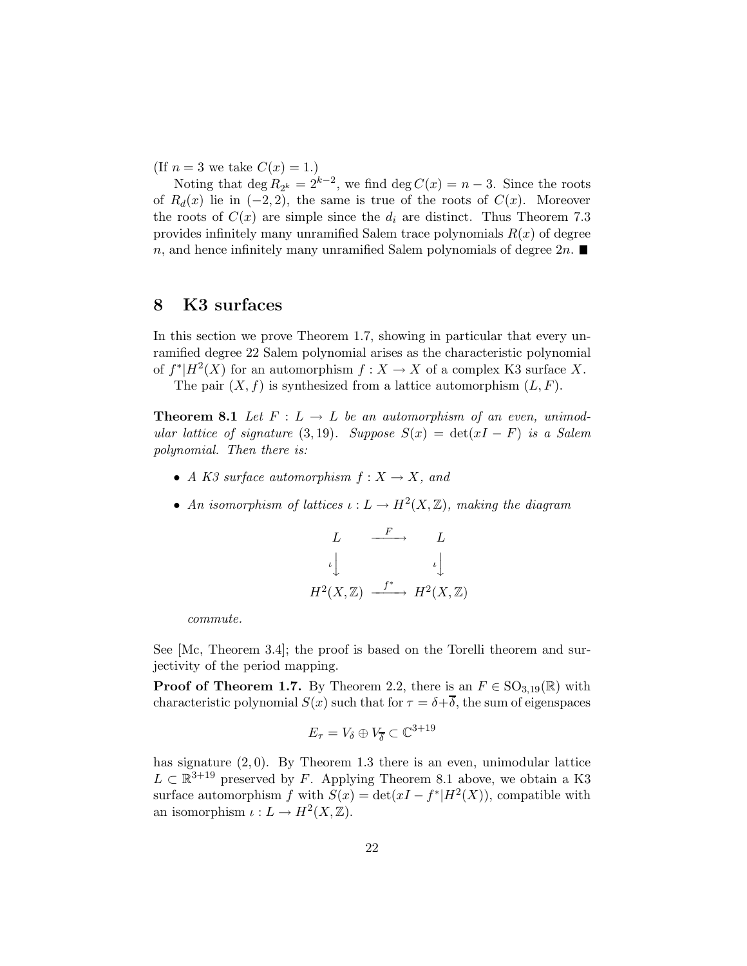(If  $n = 3$  we take  $C(x) = 1$ .)

Noting that  $\deg R_{2^k} = 2^{k-2}$ , we find  $\deg C(x) = n-3$ . Since the roots of  $R_d(x)$  lie in  $(-2, 2)$ , the same is true of the roots of  $C(x)$ . Moreover the roots of  $C(x)$  are simple since the  $d_i$  are distinct. Thus Theorem 7.3 provides infinitely many unramified Salem trace polynomials  $R(x)$  of degree n, and hence infinitely many unramified Salem polynomials of degree  $2n$ .

#### 8 K3 surfaces

In this section we prove Theorem 1.7, showing in particular that every unramified degree 22 Salem polynomial arises as the characteristic polynomial of  $f^*|H^2(X)$  for an automorphism  $f: X \to X$  of a complex K3 surface X.

The pair  $(X, f)$  is synthesized from a lattice automorphism  $(L, F)$ .

**Theorem 8.1** Let  $F: L \to L$  be an automorphism of an even, unimod*ular lattice of signature* (3,19)*. Suppose*  $S(x) = \det(xI - F)$  *is a Salem polynomial. Then there is:*

- *A K3 surface automorphism*  $f: X \to X$ *, and*
- An isomorphism of lattices  $\iota: L \to H^2(X,\mathbb{Z})$ , making the diagram

$$
L \xrightarrow{F} L
$$
  
\n
$$
\iota \downarrow \qquad \iota \downarrow
$$
  
\n
$$
H^2(X, \mathbb{Z}) \xrightarrow{f^*} H^2(X, \mathbb{Z})
$$

*commute.*

See [Mc, Theorem 3.4]; the proof is based on the Torelli theorem and surjectivity of the period mapping.

**Proof of Theorem 1.7.** By Theorem 2.2, there is an  $F \in SO_{3,19}(\mathbb{R})$  with characteristic polynomial  $S(x)$  such that for  $\tau = \delta + \overline{\delta}$ , the sum of eigenspaces

$$
E_{\tau} = V_{\delta} \oplus V_{\overline{\delta}} \subset \mathbb{C}^{3+19}
$$

has signature  $(2, 0)$ . By Theorem 1.3 there is an even, unimodular lattice  $L \subset \mathbb{R}^{3+19}$  preserved by F. Applying Theorem 8.1 above, we obtain a K3 surface automorphism f with  $S(x) = \det(xI - f^*|H^2(X))$ , compatible with an isomorphism  $\iota: L \to H^2(X, \mathbb{Z})$ .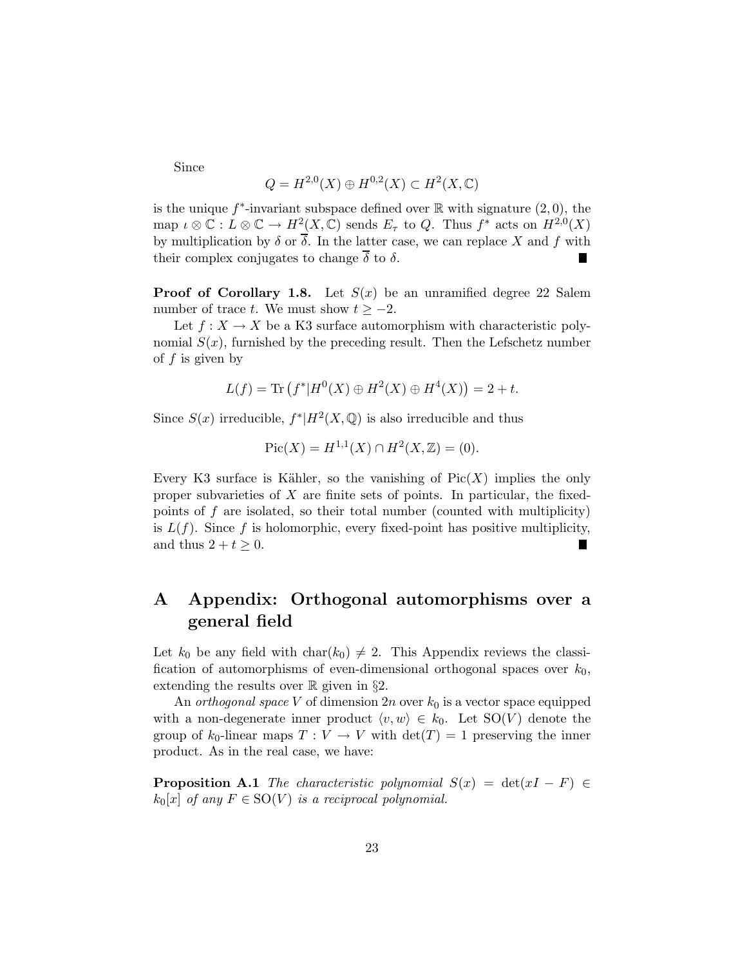Since

$$
Q = H^{2,0}(X) \oplus H^{0,2}(X) \subset H^2(X, \mathbb{C})
$$

is the unique  $f^*$ -invariant subspace defined over  $\mathbb R$  with signature  $(2,0)$ , the map  $\iota \otimes \mathbb{C} : L \otimes \mathbb{C} \to H^2(X, \mathbb{C})$  sends  $E_{\tau}$  to Q. Thus  $f^*$  acts on  $H^{2,0}(X)$ by multiplication by  $\delta$  or  $\overline{\delta}$ . In the latter case, we can replace X and f with their complex conjugates to change  $\overline{\delta}$  to  $\delta$ . П

**Proof of Corollary 1.8.** Let  $S(x)$  be an unramified degree 22 Salem number of trace t. We must show  $t \ge -2$ .

Let  $f: X \to X$  be a K3 surface automorphism with characteristic polynomial  $S(x)$ , furnished by the preceding result. Then the Lefschetz number of  $f$  is given by

$$
L(f) = \text{Tr}(f^*|H^0(X) \oplus H^2(X) \oplus H^4(X)) = 2 + t.
$$

Since  $S(x)$  irreducible,  $f^*$  $|H^2(X, \mathbb{Q})$  is also irreducible and thus

$$
Pic(X) = H^{1,1}(X) \cap H^2(X, \mathbb{Z}) = (0).
$$

Every K3 surface is Kähler, so the vanishing of  $Pic(X)$  implies the only proper subvarieties of  $X$  are finite sets of points. In particular, the fixedpoints of  $f$  are isolated, so their total number (counted with multiplicity) is  $L(f)$ . Since f is holomorphic, every fixed-point has positive multiplicity, and thus  $2 + t > 0$ .

## A Appendix: Orthogonal automorphisms over a general field

Let  $k_0$  be any field with  $char(k_0) \neq 2$ . This Appendix reviews the classification of automorphisms of even-dimensional orthogonal spaces over  $k_0$ , extending the results over  $\mathbb R$  given in §2.

An *orthogonal space* V of dimension  $2n$  over  $k_0$  is a vector space equipped with a non-degenerate inner product  $\langle v, w \rangle \in k_0$ . Let SO(V) denote the group of  $k_0$ -linear maps  $T: V \to V$  with  $\det(T) = 1$  preserving the inner product. As in the real case, we have:

**Proposition A.1** *The characteristic polynomial*  $S(x) = det(xI - F) \in$  $k_0[x]$  *of any*  $F \in SO(V)$  *is a reciprocal polynomial.*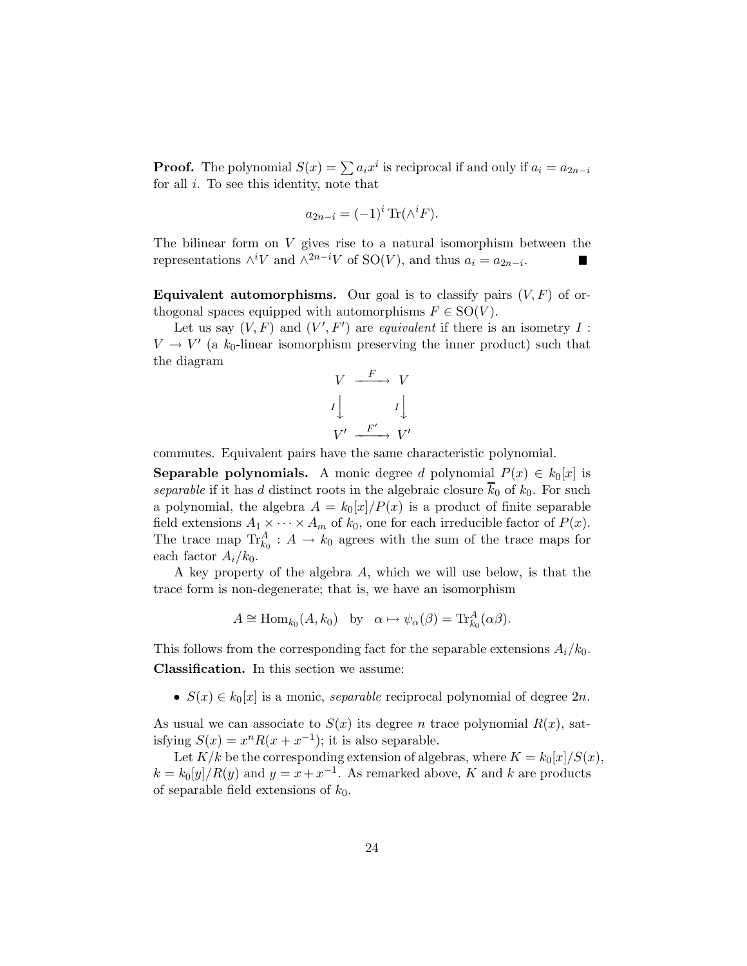**Proof.** The polynomial  $S(x) = \sum a_i x^i$  is reciprocal if and only if  $a_i = a_{2n-i}$ for all  $i$ . To see this identity, note that

$$
a_{2n-i} = (-1)^i \operatorname{Tr}(\wedge^i F).
$$

The bilinear form on  $V$  gives rise to a natural isomorphism between the representations  $\wedge^i V$  and  $\wedge^{2n-i} V$  of SO(V), and thus  $a_i = a_{2n-i}$ .

**Equivalent automorphisms.** Our goal is to classify pairs  $(V, F)$  of orthogonal spaces equipped with automorphisms  $F \in SO(V)$ .

Let us say  $(V, F)$  and  $(V', F')$  are *equivalent* if there is an isometry I :  $V \rightarrow V'$  (a  $k_0$ -linear isomorphism preserving the inner product) such that the diagram

$$
V \xrightarrow{F} V
$$

$$
I \downarrow \qquad I \downarrow
$$

$$
V' \xrightarrow{F'} V'
$$

commutes. Equivalent pairs have the same characteristic polynomial.

**Separable polynomials.** A monic degree d polynomial  $P(x) \in k_0[x]$  is *separable* if it has d distinct roots in the algebraic closure  $\overline{k}_0$  of  $k_0$ . For such a polynomial, the algebra  $A = k_0[x]/P(x)$  is a product of finite separable field extensions  $A_1 \times \cdots \times A_m$  of  $k_0$ , one for each irreducible factor of  $P(x)$ . The trace map  $\text{Tr}_{k_0}^A: A \to k_0$  agrees with the sum of the trace maps for each factor  $A_i/k_0$ .

A key property of the algebra A, which we will use below, is that the trace form is non-degenerate; that is, we have an isomorphism

$$
A \cong \text{Hom}_{k_0}(A, k_0) \quad \text{by} \quad \alpha \mapsto \psi_\alpha(\beta) = \text{Tr}_{k_0}^A(\alpha \beta).
$$

This follows from the corresponding fact for the separable extensions  $A_i/k_0$ . Classification. In this section we assume:

•  $S(x) \in k_0[x]$  is a monic, *separable* reciprocal polynomial of degree  $2n$ .

As usual we can associate to  $S(x)$  its degree n trace polynomial  $R(x)$ , satisfying  $S(x) = x^n R(x + x^{-1})$ ; it is also separable.

Let  $K/k$  be the corresponding extension of algebras, where  $K = k_0[x]/S(x)$ ,  $k = k_0[y]/R(y)$  and  $y = x + x^{-1}$ . As remarked above, K and k are products of separable field extensions of  $k_0$ .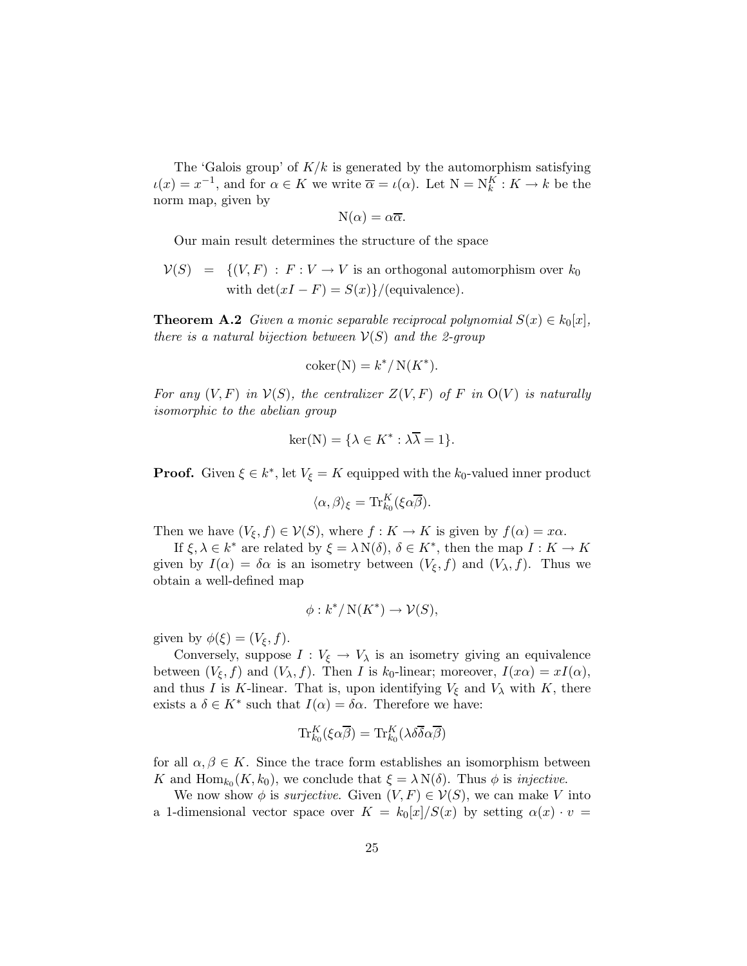The 'Galois group' of  $K/k$  is generated by the automorphism satisfying  $u(x) = x^{-1}$ , and for  $\alpha \in K$  we write  $\overline{\alpha} = u(\alpha)$ . Let  $N = N_k^K : K \to k$  be the norm map, given by

$$
N(\alpha) = \alpha \overline{\alpha}.
$$

Our main result determines the structure of the space

 $V(S) = \{ (V, F) : F : V \to V \text{ is an orthogonal automorphism over } k_0$ with  $\det(xI - F) = S(x)$ /(equivalence).

**Theorem A.2** *Given a monic separable reciprocal polynomial*  $S(x) \in k_0[x]$ , *there is a natural bijection between*  $V(S)$  *and the 2-group* 

$$
coker(N) = k^* / N(K^*).
$$

For any  $(V, F)$  in  $V(S)$ , the centralizer  $Z(V, F)$  of F in  $O(V)$  is naturally *isomorphic to the abelian group*

$$
\ker(\mathbf{N}) = \{\lambda \in K^* : \lambda \overline{\lambda} = 1\}.
$$

**Proof.** Given  $\xi \in k^*$ , let  $V_{\xi} = K$  equipped with the  $k_0$ -valued inner product

$$
\langle \alpha, \beta \rangle_{\xi} = \text{Tr}_{k_0}^K(\xi \alpha \overline{\beta}).
$$

Then we have  $(V_{\xi}, f) \in \mathcal{V}(S)$ , where  $f: K \to K$  is given by  $f(\alpha) = x\alpha$ .

If  $\xi, \lambda \in k^*$  are related by  $\xi = \lambda N(\delta)$ ,  $\delta \in K^*$ , then the map  $I: K \to K$ given by  $I(\alpha) = \delta \alpha$  is an isometry between  $(V_{\xi}, f)$  and  $(V_{\lambda}, f)$ . Thus we obtain a well-defined map

$$
\phi: k^*/\operatorname{N}(K^*) \to \mathcal{V}(S),
$$

given by  $\phi(\xi) = (V_{\xi}, f)$ .

Conversely, suppose  $I: V_{\xi} \to V_{\lambda}$  is an isometry giving an equivalence between  $(V_{\xi}, f)$  and  $(V_{\lambda}, f)$ . Then I is  $k_0$ -linear; moreover,  $I(x\alpha) = xI(\alpha)$ , and thus I is K-linear. That is, upon identifying  $V_{\xi}$  and  $V_{\lambda}$  with K, there exists a  $\delta \in K^*$  such that  $I(\alpha) = \delta \alpha$ . Therefore we have:

$$
\mathrm{Tr}^K_{k_0}(\xi\alpha\overline{\beta})=\mathrm{Tr}^K_{k_0}(\lambda\delta\overline{\delta}\alpha\overline{\beta})
$$

for all  $\alpha, \beta \in K$ . Since the trace form establishes an isomorphism between K and  $\text{Hom}_{k_0}(K, k_0)$ , we conclude that  $\xi = \lambda N(\delta)$ . Thus  $\phi$  is *injective*.

We now show  $\phi$  is *surjective*. Given  $(V, F) \in V(S)$ , we can make V into a 1-dimensional vector space over  $K = k_0[x]/S(x)$  by setting  $\alpha(x) \cdot v =$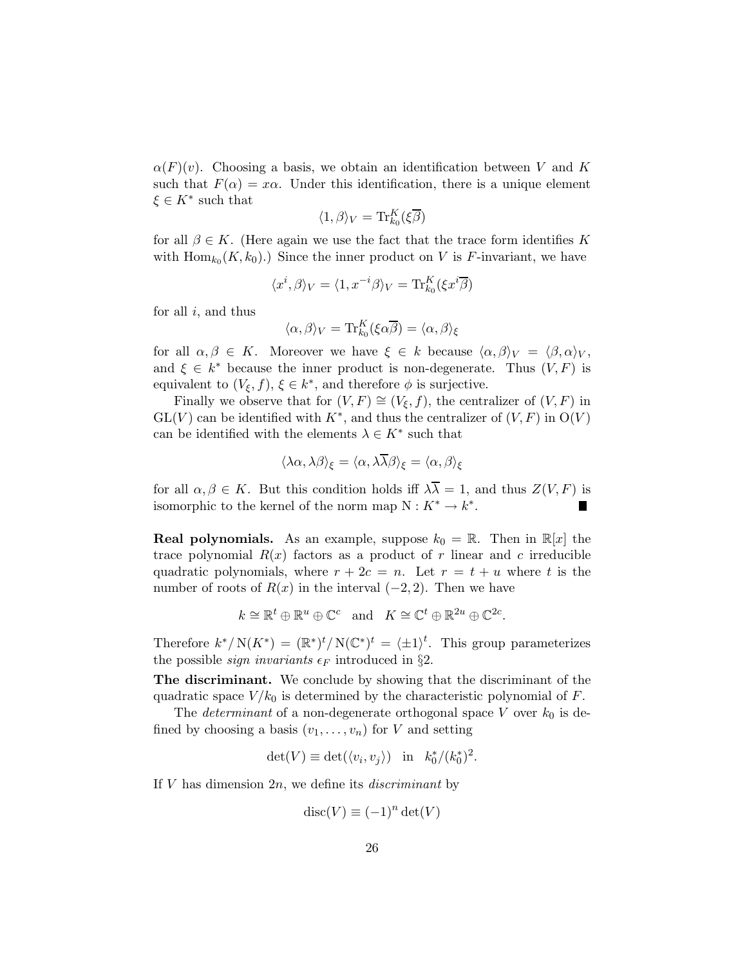$\alpha(F)(v)$ . Choosing a basis, we obtain an identification between V and K such that  $F(\alpha) = x\alpha$ . Under this identification, there is a unique element  $\xi \in K^*$  such that

$$
\langle 1, \beta \rangle_V = \text{Tr}_{k_0}^K(\xi \overline{\beta})
$$

for all  $\beta \in K$ . (Here again we use the fact that the trace form identifies K with  $\text{Hom}_{k_0}(K, k_0)$ .) Since the inner product on V is F-invariant, we have

$$
\langle x^i, \beta \rangle_V = \langle 1, x^{-i} \beta \rangle_V = \text{Tr}_{k_0}^K(\xi x^i \overline{\beta})
$$

for all  $i$ , and thus

$$
\langle \alpha, \beta \rangle_V = \text{Tr}_{k_0}^K(\xi \alpha \overline{\beta}) = \langle \alpha, \beta \rangle_{\xi}
$$

for all  $\alpha, \beta \in K$ . Moreover we have  $\xi \in k$  because  $\langle \alpha, \beta \rangle_V = \langle \beta, \alpha \rangle_V$ , and  $\xi \in k^*$  because the inner product is non-degenerate. Thus  $(V, F)$  is equivalent to  $(V_{\xi}, f)$ ,  $\xi \in k^*$ , and therefore  $\phi$  is surjective.

Finally we observe that for  $(V, F) \cong (V_{\xi}, f)$ , the centralizer of  $(V, F)$  in  $GL(V)$  can be identified with  $K^*$ , and thus the centralizer of  $(V, F)$  in  $O(V)$ can be identified with the elements  $\lambda \in K^*$  such that

$$
\langle \lambda \alpha, \lambda \beta \rangle_{\xi} = \langle \alpha, \lambda \overline{\lambda} \beta \rangle_{\xi} = \langle \alpha, \beta \rangle_{\xi}
$$

for all  $\alpha, \beta \in K$ . But this condition holds iff  $\lambda \overline{\lambda} = 1$ , and thus  $Z(V, F)$  is isomorphic to the kernel of the norm map  $N: K^* \to k^*$ .

**Real polynomials.** As an example, suppose  $k_0 = \mathbb{R}$ . Then in  $\mathbb{R}[x]$  the trace polynomial  $R(x)$  factors as a product of r linear and c irreducible quadratic polynomials, where  $r + 2c = n$ . Let  $r = t + u$  where t is the number of roots of  $R(x)$  in the interval  $(-2, 2)$ . Then we have

$$
k \cong \mathbb{R}^t \oplus \mathbb{R}^u \oplus \mathbb{C}^c
$$
 and  $K \cong \mathbb{C}^t \oplus \mathbb{R}^{2u} \oplus \mathbb{C}^{2c}$ .

Therefore  $k^*/N(K^*) = (\mathbb{R}^*)^t/N(\mathbb{C}^*)^t = \langle \pm 1 \rangle^t$ . This group parameterizes the possible *sign invariants*  $\epsilon_F$  introduced in §2.

**The discriminant.** We conclude by showing that the discriminant of the quadratic space  $V/k_0$  is determined by the characteristic polynomial of F.

The *determinant* of a non-degenerate orthogonal space V over  $k_0$  is defined by choosing a basis  $(v_1, \ldots, v_n)$  for V and setting

$$
\det(V) \equiv \det(\langle v_i, v_j \rangle) \quad \text{in} \quad k_0^*/(k_0^*)^2.
$$

If V has dimension 2n, we define its *discriminant* by

$$
disc(V) \equiv (-1)^n det(V)
$$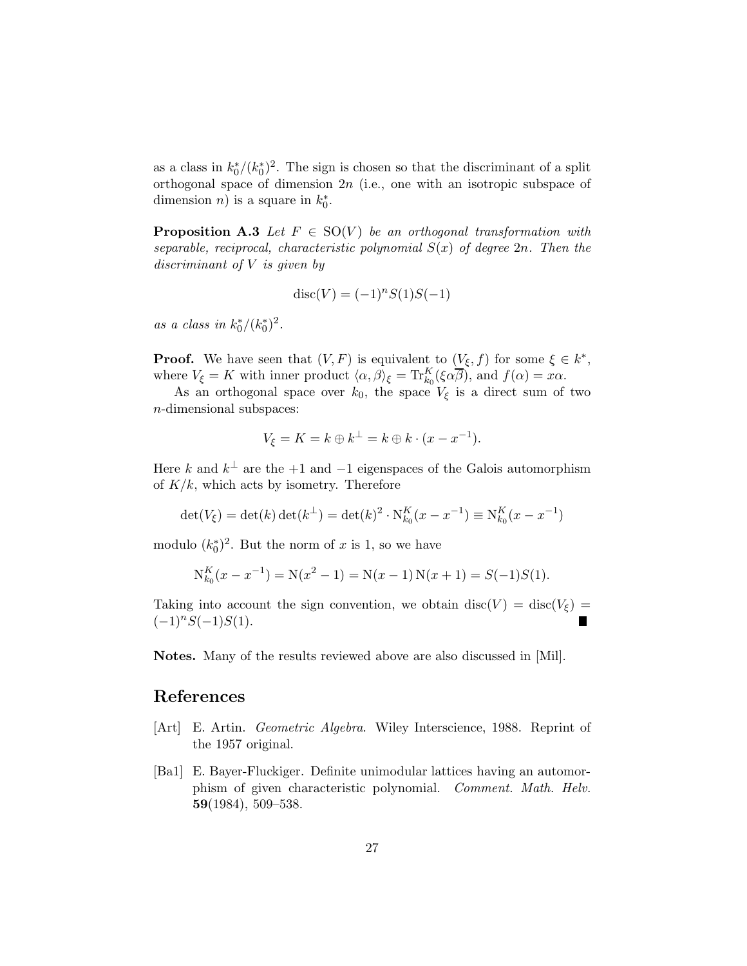as a class in  $k_0^*/(k_0^*)^2$ . The sign is chosen so that the discriminant of a split orthogonal space of dimension  $2n$  (i.e., one with an isotropic subspace of dimension *n*) is a square in  $k_0^*$ .

**Proposition A.3** *Let*  $F \in SO(V)$  *be an orthogonal transformation with separable, reciprocal, characteristic polynomial*  $S(x)$  *of degree* 2*n.* Then the *discriminant of* V *is given by*

$$
disc(V) = (-1)^n S(1)S(-1)
$$

*as a class in*  $k_0^*/(k_0^*)^2$ .

**Proof.** We have seen that  $(V, F)$  is equivalent to  $(\underline{V_{\xi}}, f)$  for some  $\xi \in k^*$ , where  $V_{\xi} = K$  with inner product  $\langle \alpha, \beta \rangle_{\xi} = \text{Tr}_{k_0}^{K}(\xi \alpha \overline{\beta})$ , and  $f(\alpha) = x\alpha$ .

As an orthogonal space over  $k_0$ , the space  $V_{\xi}$  is a direct sum of two n-dimensional subspaces:

$$
V_{\xi} = K = k \oplus k^{\perp} = k \oplus k \cdot (x - x^{-1}).
$$

Here k and  $k^{\perp}$  are the +1 and -1 eigenspaces of the Galois automorphism of  $K/k$ , which acts by isometry. Therefore

$$
\det(V_{\xi}) = \det(k)\det(k^{\perp}) = \det(k)^{2} \cdot N_{k_{0}}^{K}(x - x^{-1}) \equiv N_{k_{0}}^{K}(x - x^{-1})
$$

modulo  $(k_0^*)^2$ . But the norm of x is 1, so we have

$$
N_{k_0}^K(x - x^{-1}) = N(x^2 - 1) = N(x - 1)N(x + 1) = S(-1)S(1).
$$

Taking into account the sign convention, we obtain disc(V) = disc(V<sub> $\epsilon$ </sub>) =  $(-1)^nS(-1)S(1).$ 

Notes. Many of the results reviewed above are also discussed in [Mil].

#### References

- [Art] E. Artin. *Geometric Algebra*. Wiley Interscience, 1988. Reprint of the 1957 original.
- [Ba1] E. Bayer-Fluckiger. Definite unimodular lattices having an automorphism of given characteristic polynomial. *Comment. Math. Helv.* 59(1984), 509–538.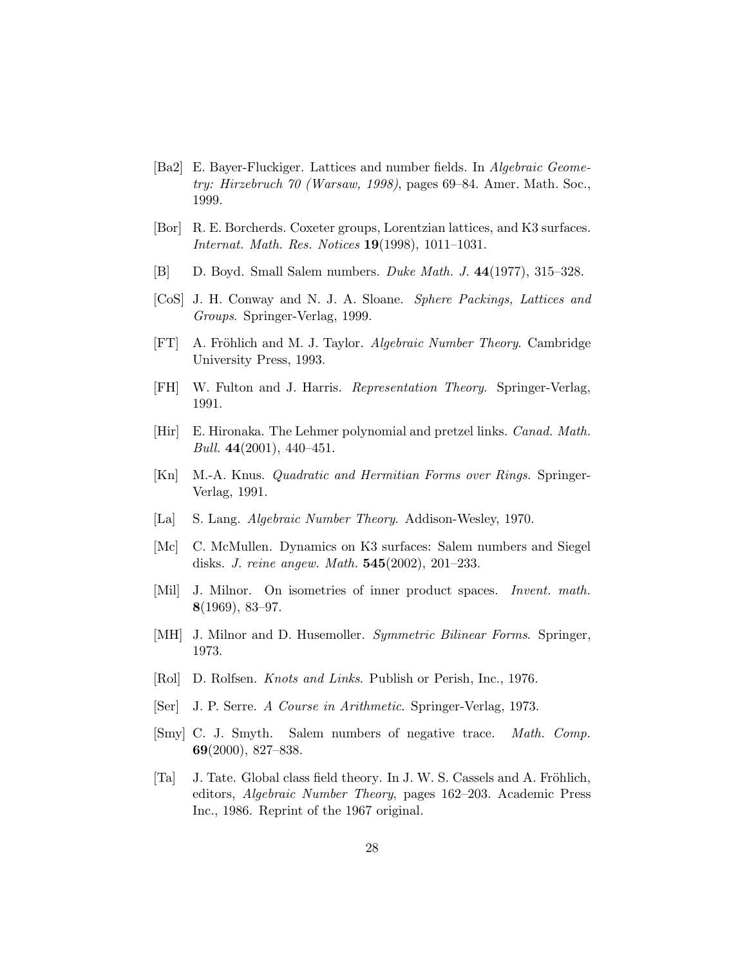- [Ba2] E. Bayer-Fluckiger. Lattices and number fields. In *Algebraic Geometry: Hirzebruch 70 (Warsaw, 1998)*, pages 69–84. Amer. Math. Soc., 1999.
- [Bor] R. E. Borcherds. Coxeter groups, Lorentzian lattices, and K3 surfaces. *Internat. Math. Res. Notices* 19(1998), 1011–1031.
- [B] D. Boyd. Small Salem numbers. *Duke Math. J.* 44(1977), 315–328.
- [CoS] J. H. Conway and N. J. A. Sloane. *Sphere Packings, Lattices and Groups*. Springer-Verlag, 1999.
- [FT] A. Fröhlich and M. J. Taylor. *Algebraic Number Theory*. Cambridge University Press, 1993.
- [FH] W. Fulton and J. Harris. *Representation Theory*. Springer-Verlag, 1991.
- [Hir] E. Hironaka. The Lehmer polynomial and pretzel links. *Canad. Math. Bull.* 44(2001), 440–451.
- [Kn] M.-A. Knus. *Quadratic and Hermitian Forms over Rings*. Springer-Verlag, 1991.
- [La] S. Lang. *Algebraic Number Theory*. Addison-Wesley, 1970.
- [Mc] C. McMullen. Dynamics on K3 surfaces: Salem numbers and Siegel disks. *J. reine angew. Math.* 545(2002), 201–233.
- [Mil] J. Milnor. On isometries of inner product spaces. *Invent. math.* 8(1969), 83–97.
- [MH] J. Milnor and D. Husemoller. *Symmetric Bilinear Forms*. Springer, 1973.
- [Rol] D. Rolfsen. *Knots and Links*. Publish or Perish, Inc., 1976.
- [Ser] J. P. Serre. *A Course in Arithmetic*. Springer-Verlag, 1973.
- [Smy] C. J. Smyth. Salem numbers of negative trace. *Math. Comp.* 69(2000), 827–838.
- [Ta] J. Tate. Global class field theory. In J. W. S. Cassels and A. Fröhlich, editors, *Algebraic Number Theory*, pages 162–203. Academic Press Inc., 1986. Reprint of the 1967 original.